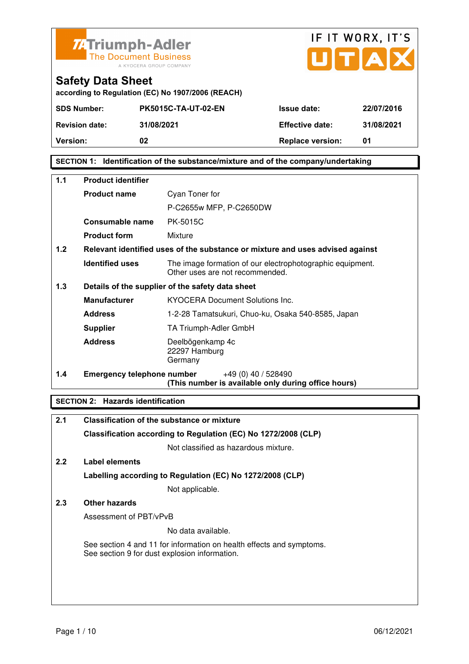



**according to Regulation (EC) No 1907/2006 (REACH)**

| <b>SDS Number:</b>    | <b>PK5015C-TA-UT-02-EN</b> | <b>Issue date:</b>      | 22/07/2016 |
|-----------------------|----------------------------|-------------------------|------------|
| <b>Revision date:</b> | 31/08/2021                 | <b>Effective date:</b>  | 31/08/2021 |
| <b>Version:</b>       | 02                         | <b>Replace version:</b> | 01         |

## **SECTION 1: Identification of the substance/mixture and of the company/undertaking**

| $1.1$ | <b>Product identifier</b>         |                                                                                              |  |
|-------|-----------------------------------|----------------------------------------------------------------------------------------------|--|
|       | <b>Product name</b>               | Cyan Toner for                                                                               |  |
|       |                                   | P-C2655w MFP, P-C2650DW                                                                      |  |
|       | Consumable name                   | <b>PK-5015C</b>                                                                              |  |
|       | <b>Product form</b>               | Mixture                                                                                      |  |
| 1.2   |                                   | Relevant identified uses of the substance or mixture and uses advised against                |  |
|       | <b>Identified uses</b>            | The image formation of our electrophotographic equipment.<br>Other uses are not recommended. |  |
| 1.3   |                                   | Details of the supplier of the safety data sheet                                             |  |
|       | <b>Manufacturer</b>               | <b>KYOCERA Document Solutions Inc.</b>                                                       |  |
|       | <b>Address</b>                    | 1-2-28 Tamatsukuri, Chuo-ku, Osaka 540-8585, Japan                                           |  |
|       | <b>Supplier</b>                   | TA Triumph-Adler GmbH                                                                        |  |
|       | <b>Address</b>                    | Deelbögenkamp 4c<br>22297 Hamburg<br>Germany                                                 |  |
| 1.4   | <b>Emergency telephone number</b> | $+49(0)$ 40 / 528490<br>(This number is available only during office hours)                  |  |

## **SECTION 2: Hazards identification**

| 2.1           | <b>Classification of the substance or mixture</b>                                                                     |
|---------------|-----------------------------------------------------------------------------------------------------------------------|
|               | Classification according to Regulation (EC) No 1272/2008 (CLP)                                                        |
|               | Not classified as hazardous mixture.                                                                                  |
| $2.2^{\circ}$ | Label elements                                                                                                        |
|               | Labelling according to Regulation (EC) No 1272/2008 (CLP)                                                             |
|               | Not applicable.                                                                                                       |
| 2.3           | Other hazards                                                                                                         |
|               | Assessment of PBT/vPvB                                                                                                |
|               | No data available.                                                                                                    |
|               | See section 4 and 11 for information on health effects and symptoms.<br>See section 9 for dust explosion information. |
|               |                                                                                                                       |
|               |                                                                                                                       |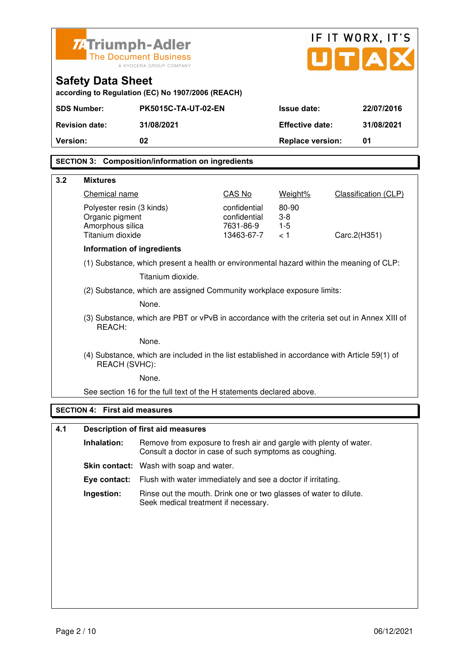|                                                         | IF IT WORX, IT'S<br><b>ZATriumph-Adler</b>                                    |                                                                                                                              |                              |                                     |                             |
|---------------------------------------------------------|-------------------------------------------------------------------------------|------------------------------------------------------------------------------------------------------------------------------|------------------------------|-------------------------------------|-----------------------------|
| <b>The Document Business</b><br>A KYOCERA GROUP COMPANY |                                                                               |                                                                                                                              |                              | $\mathbf{U}[\mathbf{T} \mathbf{A}]$ |                             |
|                                                         | <b>Safety Data Sheet</b><br>according to Regulation (EC) No 1907/2006 (REACH) |                                                                                                                              |                              |                                     |                             |
|                                                         | <b>SDS Number:</b>                                                            | <b>PK5015C-TA-UT-02-EN</b>                                                                                                   |                              | <b>Issue date:</b>                  | 22/07/2016                  |
|                                                         | <b>Revision date:</b>                                                         | 31/08/2021                                                                                                                   |                              | <b>Effective date:</b>              | 31/08/2021                  |
| Version:                                                |                                                                               | 02                                                                                                                           |                              | <b>Replace version:</b>             | 01                          |
|                                                         |                                                                               |                                                                                                                              |                              |                                     |                             |
|                                                         |                                                                               | <b>SECTION 3: Composition/information on ingredients</b>                                                                     |                              |                                     |                             |
| 3.2                                                     | <b>Mixtures</b>                                                               |                                                                                                                              |                              |                                     |                             |
|                                                         | Chemical name                                                                 |                                                                                                                              | CAS No                       | Weight%                             | <b>Classification (CLP)</b> |
|                                                         | Polyester resin (3 kinds)<br>Organic pigment                                  |                                                                                                                              | confidential<br>confidential | 80-90<br>$3-8$                      |                             |
|                                                         | Amorphous silica                                                              |                                                                                                                              | 7631-86-9                    | $1-5$                               |                             |
|                                                         | Titanium dioxide                                                              |                                                                                                                              | 13463-67-7                   | < 1                                 | Carc.2(H351)                |
|                                                         | Information of ingredients                                                    |                                                                                                                              |                              |                                     |                             |
|                                                         |                                                                               | (1) Substance, which present a health or environmental hazard within the meaning of CLP:<br>Titanium dioxide.                |                              |                                     |                             |
|                                                         |                                                                               | (2) Substance, which are assigned Community workplace exposure limits:                                                       |                              |                                     |                             |
|                                                         |                                                                               | None.                                                                                                                        |                              |                                     |                             |
|                                                         | REACH:                                                                        | (3) Substance, which are PBT or vPvB in accordance with the criteria set out in Annex XIII of                                |                              |                                     |                             |
|                                                         | None.                                                                         |                                                                                                                              |                              |                                     |                             |
|                                                         | REACH (SVHC):                                                                 | (4) Substance, which are included in the list established in accordance with Article 59(1) of                                |                              |                                     |                             |
|                                                         | None                                                                          |                                                                                                                              |                              |                                     |                             |
|                                                         |                                                                               | See section 16 for the full text of the H statements declared above.                                                         |                              |                                     |                             |
|                                                         | <b>SECTION 4: First aid measures</b>                                          |                                                                                                                              |                              |                                     |                             |
| 4.1                                                     |                                                                               | <b>Description of first aid measures</b>                                                                                     |                              |                                     |                             |
|                                                         | Inhalation:                                                                   | Remove from exposure to fresh air and gargle with plenty of water.<br>Consult a doctor in case of such symptoms as coughing. |                              |                                     |                             |
|                                                         |                                                                               | <b>Skin contact:</b> Wash with soap and water.                                                                               |                              |                                     |                             |
|                                                         | Eye contact:                                                                  | Flush with water immediately and see a doctor if irritating.                                                                 |                              |                                     |                             |
|                                                         | Ingestion:                                                                    | Rinse out the mouth. Drink one or two glasses of water to dilute.                                                            |                              |                                     |                             |
|                                                         | Seek medical treatment if necessary.                                          |                                                                                                                              |                              |                                     |                             |
|                                                         |                                                                               |                                                                                                                              |                              |                                     |                             |
|                                                         |                                                                               |                                                                                                                              |                              |                                     |                             |
|                                                         |                                                                               |                                                                                                                              |                              |                                     |                             |
|                                                         |                                                                               |                                                                                                                              |                              |                                     |                             |
|                                                         |                                                                               |                                                                                                                              |                              |                                     |                             |
|                                                         |                                                                               |                                                                                                                              |                              |                                     |                             |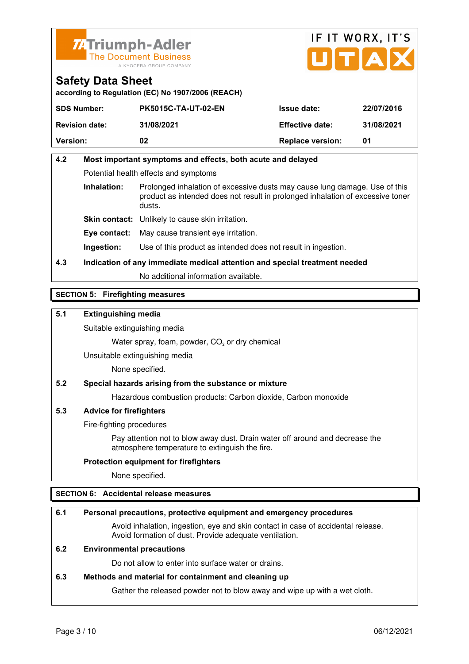



**according to Regulation (EC) No 1907/2006 (REACH)**

| <b>SDS Number:</b>    | <b>PK5015C-TA-UT-02-EN</b> | <b>Issue date:</b>      | 22/07/2016 |
|-----------------------|----------------------------|-------------------------|------------|
| <b>Revision date:</b> | 31/08/2021                 | <b>Effective date:</b>  | 31/08/2021 |
| <b>Version:</b>       | 02                         | <b>Replace version:</b> | 01         |

# **4.2 Most important symptoms and effects, both acute and delayed**  Potential health effects and symptoms **Inhalation:** Prolonged inhalation of excessive dusts may cause lung damage. Use of this product as intended does not result in prolonged inhalation of excessive toner dusts. **Skin contact:** Unlikely to cause skin irritation.

**Eye contact:** May cause transient eye irritation.

**Ingestion:** Use of this product as intended does not result in ingestion.

**4.3 Indication of any immediate medical attention and special treatment needed** 

No additional information available.

## **SECTION 5: Firefighting measures**

## **5.1 Extinguishing media**

Suitable extinguishing media

Water spray, foam, powder,  $CO<sub>2</sub>$  or dry chemical

Unsuitable extinguishing media

None specified.

## **5.2 Special hazards arising from the substance or mixture**

Hazardous combustion products: Carbon dioxide, Carbon monoxide

## **5.3 Advice for firefighters**

Fire-fighting procedures

 Pay attention not to blow away dust. Drain water off around and decrease the atmosphere temperature to extinguish the fire.

### **Protection equipment for firefighters**

None specified.

## **SECTION 6: Accidental release measures**

### **6.1 Personal precautions, protective equipment and emergency procedures**

 Avoid inhalation, ingestion, eye and skin contact in case of accidental release. Avoid formation of dust. Provide adequate ventilation.

### **6.2 Environmental precautions**

Do not allow to enter into surface water or drains.

### **6.3 Methods and material for containment and cleaning up**

Gather the released powder not to blow away and wipe up with a wet cloth.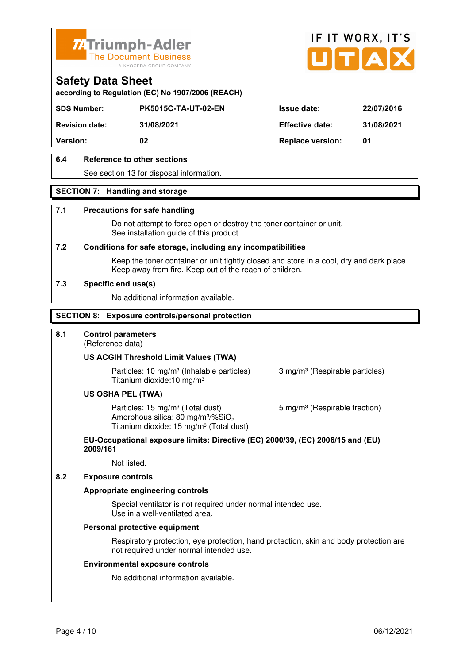



**according to Regulation (EC) No 1907/2006 (REACH)**

| <b>SDS Number:</b>    | <b>PK5015C-TA-UT-02-EN</b> | <b>Issue date:</b>      | 22/07/2016 |
|-----------------------|----------------------------|-------------------------|------------|
| <b>Revision date:</b> | 31/08/2021                 | <b>Effective date:</b>  | 31/08/2021 |
| <b>Version:</b>       | 02                         | <b>Replace version:</b> | 01         |
|                       |                            |                         |            |

## **6.4 Reference to other sections**

See section 13 for disposal information.

### **SECTION 7: Handling and storage**

### **7.1 Precautions for safe handling**

 Do not attempt to force open or destroy the toner container or unit. See installation guide of this product.

### **7.2 Conditions for safe storage, including any incompatibilities**

Keep the toner container or unit tightly closed and store in a cool, dry and dark place. Keep away from fire. Keep out of the reach of children.

### **7.3 Specific end use(s)**

No additional information available.

### **SECTION 8: Exposure controls/personal protection**

### **8.1 Control parameters**

(Reference data)

### **US ACGIH Threshold Limit Values (TWA)**

**Particles: 10 mg/m<sup>3</sup> (Inhalable particles) 3 mg/m<sup>3</sup> (Respirable particles)** Titanium dioxide:10 mg/m³

### **US OSHA PEL (TWA)**

Particles: 15 mg/m<sup>3</sup> (Total dust) 5 mg/m<sup>3</sup> (Respirable fraction) Amorphous silica:  $80 \text{ mg/m}^3/\% \text{SiO}_2$ Titanium dioxide: 15 mg/m<sup>3</sup> (Total dust)

### **EU-Occupational exposure limits: Directive (EC) 2000/39, (EC) 2006/15 and (EU) 2009/161**

Not listed.

### **8.2 Exposure controls**

### **Appropriate engineering controls**

 Special ventilator is not required under normal intended use. Use in a well-ventilated area.

### **Personal protective equipment**

 Respiratory protection, eye protection, hand protection, skin and body protection are not required under normal intended use.

### **Environmental exposure controls**

No additional information available.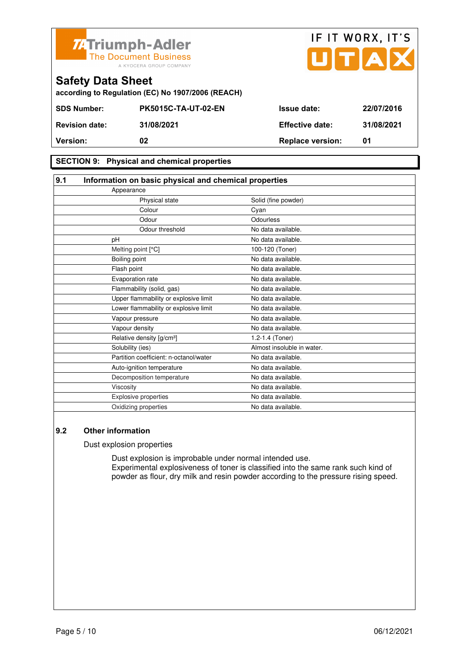

| <b>74 Triumph-Adler</b><br>The Document Business | A KYOCERA GROUP COMPANY                           |                        | IF IT WORX, IT'S<br>UTAX |
|--------------------------------------------------|---------------------------------------------------|------------------------|--------------------------|
| <b>Safety Data Sheet</b>                         | according to Regulation (EC) No 1907/2006 (REACH) |                        |                          |
| <b>SDS Number:</b>                               | <b>PK5015C-TA-UT-02-EN</b>                        | <b>Issue date:</b>     | 22/07/2016               |
| <b>Revision date:</b>                            | 31/08/2021                                        | <b>Effective date:</b> | 31/08/2021               |
|                                                  |                                                   |                        |                          |

## **SECTION 9: Physical and chemical properties**

| 9.1                                    | Information on basic physical and chemical properties |  |
|----------------------------------------|-------------------------------------------------------|--|
| Appearance                             |                                                       |  |
| Physical state                         | Solid (fine powder)                                   |  |
| Colour                                 | Cyan                                                  |  |
| Odour                                  | Odourless                                             |  |
| Odour threshold                        | No data available.                                    |  |
| pH                                     | No data available.                                    |  |
| Melting point [°C]                     | 100-120 (Toner)                                       |  |
| Boiling point                          | No data available.                                    |  |
| Flash point                            | No data available.                                    |  |
| Evaporation rate                       | No data available.                                    |  |
| Flammability (solid, gas)              | No data available.                                    |  |
| Upper flammability or explosive limit  | No data available.                                    |  |
| Lower flammability or explosive limit  | No data available.                                    |  |
| Vapour pressure                        | No data available.                                    |  |
| Vapour density                         | No data available.                                    |  |
| Relative density [g/cm <sup>3</sup> ]  | 1.2-1.4 (Toner)                                       |  |
| Solubility (ies)                       | Almost insoluble in water.                            |  |
| Partition coefficient: n-octanol/water | No data available.                                    |  |
| Auto-ignition temperature              | No data available.                                    |  |
| Decomposition temperature              | No data available.                                    |  |
| Viscosity                              | No data available.                                    |  |
| Explosive properties                   | No data available.                                    |  |
| Oxidizing properties                   | No data available.                                    |  |

**Version:** 02 02 Replace version: 01

### **9.2 Other information**

Dust explosion properties

 Dust explosion is improbable under normal intended use. Experimental explosiveness of toner is classified into the same rank such kind of powder as flour, dry milk and resin powder according to the pressure rising speed.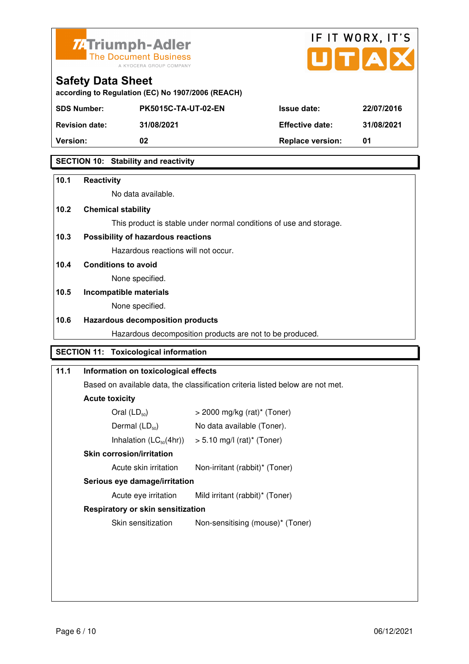



| according to Regulation (EC) No 1907/2006 (REACH) |  |  |
|---------------------------------------------------|--|--|

| <b>SDS Number:</b>    | <b>PK5015C-TA-UT-02-EN</b> | <b>Issue date:</b>      | 22/07/2016 |
|-----------------------|----------------------------|-------------------------|------------|
| <b>Revision date:</b> | 31/08/2021                 | <b>Effective date:</b>  | 31/08/2021 |
| <b>Version:</b>       | 02                         | <b>Replace version:</b> | 01         |
|                       |                            |                         |            |

## **SECTION 10: Stability and reactivity**

| 10.1 | <b>Reactivity</b>                            |                                                                                |
|------|----------------------------------------------|--------------------------------------------------------------------------------|
|      | No data available.                           |                                                                                |
| 10.2 | <b>Chemical stability</b>                    |                                                                                |
|      |                                              | This product is stable under normal conditions of use and storage.             |
| 10.3 | Possibility of hazardous reactions           |                                                                                |
|      | Hazardous reactions will not occur.          |                                                                                |
| 10.4 | <b>Conditions to avoid</b>                   |                                                                                |
|      | None specified.                              |                                                                                |
| 10.5 | Incompatible materials                       |                                                                                |
|      | None specified.                              |                                                                                |
| 10.6 | <b>Hazardous decomposition products</b>      |                                                                                |
|      |                                              | Hazardous decomposition products are not to be produced.                       |
|      | <b>SECTION 11: Toxicological information</b> |                                                                                |
| 11.1 | Information on toxicological effects         |                                                                                |
|      |                                              |                                                                                |
|      |                                              | Based on available data, the classification criteria listed below are not met. |
|      | <b>Acute toxicity</b>                        |                                                                                |
|      | Oral $(LD_{50})$                             | $>$ 2000 mg/kg (rat)* (Toner)                                                  |
|      | Dermal (LD <sub>50</sub> )                   | No data available (Toner).                                                     |
|      | Inhalation $(LC_{50}(4hr))$                  | $> 5.10$ mg/l (rat)* (Toner)                                                   |

## **Skin corrosion/irritation**

Acute skin irritation Non-irritant (rabbit)\* (Toner)

## **Serious eye damage/irritation**

Acute eye irritation Mild irritant (rabbit)\* (Toner)

### **Respiratory or skin sensitization**

Skin sensitization Mon-sensitising (mouse)\* (Toner)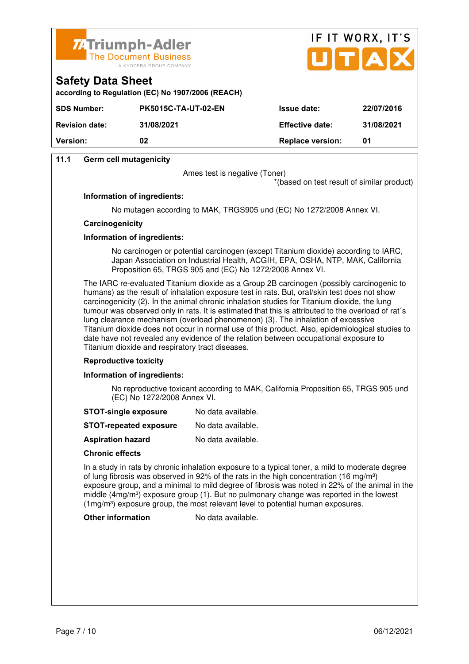



|             | according to Regulation (EC) No 1907/2006 (REACH) |                   |
|-------------|---------------------------------------------------|-------------------|
| SDS Number: | <b>PK5015C-TA-UT-02-EN</b>                        | <b>Issue date</b> |

| Version:              | 02                         | <b>Replace version:</b> |            |
|-----------------------|----------------------------|-------------------------|------------|
| <b>Revision date:</b> | 31/08/2021                 | <b>Effective date:</b>  | 31/08/2021 |
| SDS Number:           | <b>PK5015C-TA-UT-02-EN</b> | <b>Issue date:</b>      | 22/07/2016 |

## **11.1 Germ cell mutagenicity**

**Safety Data Sheet** 

Ames test is negative (Toner)

\*(based on test result of similar product)

### **Information of ingredients:**

No mutagen according to MAK, TRGS905 und (EC) No 1272/2008 Annex VI.

### **Carcinogenicity**

### **Information of ingredients:**

 No carcinogen or potential carcinogen (except Titanium dioxide) according to IARC, Japan Association on Industrial Health, ACGIH, EPA, OSHA, NTP, MAK, California Proposition 65, TRGS 905 and (EC) No 1272/2008 Annex VI.

 The IARC re-evaluated Titanium dioxide as a Group 2B carcinogen (possibly carcinogenic to humans) as the result of inhalation exposure test in rats. But, oral/skin test does not show carcinogenicity (2). In the animal chronic inhalation studies for Titanium dioxide, the lung tumour was observed only in rats. It is estimated that this is attributed to the overload of rat´s lung clearance mechanism (overload phenomenon) (3). The inhalation of excessive Titanium dioxide does not occur in normal use of this product. Also, epidemiological studies to date have not revealed any evidence of the relation between occupational exposure to Titanium dioxide and respiratory tract diseases.

### **Reproductive toxicity**

### **Information of ingredients:**

 No reproductive toxicant according to MAK, California Proposition 65, TRGS 905 und (EC) No 1272/2008 Annex VI.

- **STOT-single exposure** No data available.
- **STOT-repeated exposure** No data available.
- **Aspiration hazard** No data available.

### **Chronic effects**

 In a study in rats by chronic inhalation exposure to a typical toner, a mild to moderate degree of lung fibrosis was observed in 92% of the rats in the high concentration (16 mg/m<sup>3</sup>) exposure group, and a minimal to mild degree of fibrosis was noted in 22% of the animal in the middle ( $4mg/m<sup>3</sup>$ ) exposure group (1). But no pulmonary change was reported in the lowest (1mg/m<sup>3</sup>) exposure group, the most relevant level to potential human exposures.

**Other information** No data available.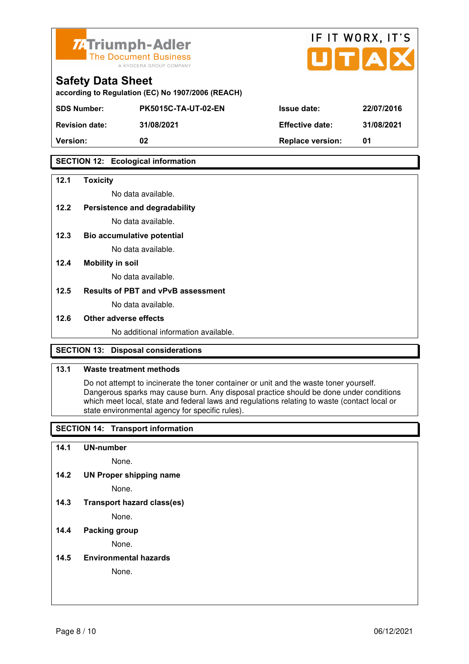



|  | <b>Safety Data Sheet</b> |  |  |  |
|--|--------------------------|--|--|--|
|--|--------------------------|--|--|--|

**according to Regulation (EC) No 1907/2006 (REACH)**

| <b>SDS Number:</b>    | <b>PK5015C-TA-UT-02-EN</b> | <b>Issue date:</b>      | 22/07/2016 |
|-----------------------|----------------------------|-------------------------|------------|
| <b>Revision date:</b> | 31/08/2021                 | <b>Effective date:</b>  | 31/08/2021 |
| <b>Version:</b>       | 02                         | <b>Replace version:</b> | 01         |

## **SECTION 12: Ecological information**

### **12.1 Toxicity**

No data available.

## **12.2 Persistence and degradability**

No data available.

**12.3 Bio accumulative potential** 

No data available.

### **12.4 Mobility in soil**

No data available.

### **12.5 Results of PBT and vPvB assessment**

No data available.

### **12.6 Other adverse effects**

No additional information available.

## **SECTION 13: Disposal considerations**

### **13.1 Waste treatment methods**

 Do not attempt to incinerate the toner container or unit and the waste toner yourself. Dangerous sparks may cause burn. Any disposal practice should be done under conditions which meet local, state and federal laws and regulations relating to waste (contact local or state environmental agency for specific rules).

## **SECTION 14: Transport information**

### **14.1 UN-number**

None.

**14.2 UN Proper shipping name** 

None.

**14.3 Transport hazard class(es)** 

None.

## **14.4 Packing group**

None.

### **14.5 Environmental hazards**

None.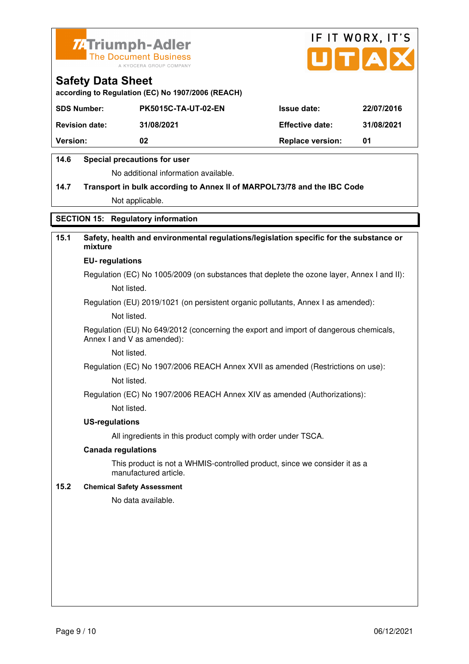



**according to Regulation (EC) No 1907/2006 (REACH)**

| <b>SDS Number:</b>    | <b>PK5015C-TA-UT-02-EN</b> | <b>Issue date:</b>      | 22/07/2016 |
|-----------------------|----------------------------|-------------------------|------------|
| <b>Revision date:</b> | 31/08/2021                 | <b>Effective date:</b>  | 31/08/2021 |
| <b>Version:</b>       | 02                         | <b>Replace version:</b> | 01         |

## **14.6 Special precautions for user**

No additional information available.

# **14.7 Transport in bulk according to Annex II of MARPOL73/78 and the IBC Code** Not applicable.

## **SECTION 15: Regulatory information**

# **15.1 Safety, health and environmental regulations/legislation specific for the substance or mixture**

### **EU- regulations**

Regulation (EC) No 1005/2009 (on substances that deplete the ozone layer, Annex I and II): Not listed.

Regulation (EU) 2019/1021 (on persistent organic pollutants, Annex I as amended):

Not listed.

 Regulation (EU) No 649/2012 (concerning the export and import of dangerous chemicals, Annex I and V as amended):

Not listed.

 Regulation (EC) No 1907/2006 REACH Annex XVII as amended (Restrictions on use): Not listed.

Regulation (EC) No 1907/2006 REACH Annex XIV as amended (Authorizations):

Not listed.

### **US-regulations**

All ingredients in this product comply with order under TSCA.

### **Canada regulations**

 This product is not a WHMIS-controlled product, since we consider it as a manufactured article.

### **15.2 Chemical Safety Assessment**

No data available.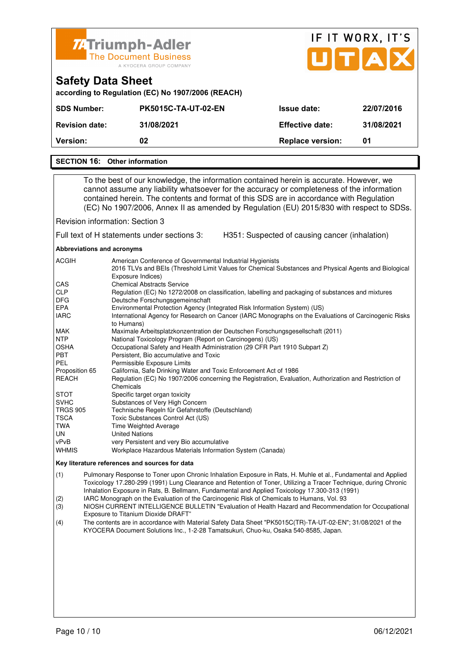

| <b>Version:</b>       | 02                         | <b>Replace version:</b> | 01         |
|-----------------------|----------------------------|-------------------------|------------|
| <b>Revision date:</b> | 31/08/2021                 | <b>Effective date:</b>  | 31/08/2021 |
| <b>SDS Number:</b>    | <b>PK5015C-TA-UT-02-EN</b> | <b>Issue date:</b>      | 22/07/2016 |

### **SECTION 16: Other information**

 To the best of our knowledge, the information contained herein is accurate. However, we cannot assume any liability whatsoever for the accuracy or completeness of the information contained herein. The contents and format of this SDS are in accordance with Regulation (EC) No 1907/2006, Annex II as amended by Regulation (EU) 2015/830 with respect to SDSs.

Revision information: Section 3

Full text of H statements under sections 3: H351: Suspected of causing cancer (inhalation)

**Abbreviations and acronyms** 

| <b>ACGIH</b>    | American Conference of Governmental Industrial Hygienists                                                                  |
|-----------------|----------------------------------------------------------------------------------------------------------------------------|
|                 | 2016 TLVs and BEIs (Threshold Limit Values for Chemical Substances and Physical Agents and Biological<br>Exposure Indices) |
| <b>CAS</b>      | <b>Chemical Abstracts Service</b>                                                                                          |
| <b>CLP</b>      | Regulation (EC) No 1272/2008 on classification, labelling and packaging of substances and mixtures                         |
| <b>DFG</b>      | Deutsche Forschungsgemeinschaft                                                                                            |
| EPA             | Environmental Protection Agency (Integrated Risk Information System) (US)                                                  |
| <b>IARC</b>     | International Agency for Research on Cancer (IARC Monographs on the Evaluations of Carcinogenic Risks<br>to Humans)        |
| <b>MAK</b>      | Maximale Arbeitsplatzkonzentration der Deutschen Forschungsgesellschaft (2011)                                             |
| <b>NTP</b>      | National Toxicology Program (Report on Carcinogens) (US)                                                                   |
| <b>OSHA</b>     | Occupational Safety and Health Administration (29 CFR Part 1910 Subpart Z)                                                 |
| <b>PBT</b>      | Persistent, Bio accumulative and Toxic                                                                                     |
| PEL             | Permissible Exposure Limits                                                                                                |
| Proposition 65  | California, Safe Drinking Water and Toxic Enforcement Act of 1986                                                          |
| <b>REACH</b>    | Regulation (EC) No 1907/2006 concerning the Registration, Evaluation, Authorization and Restriction of                     |
|                 | Chemicals                                                                                                                  |
| <b>STOT</b>     | Specific target organ toxicity                                                                                             |
| <b>SVHC</b>     | Substances of Very High Concern                                                                                            |
| <b>TRGS 905</b> | Technische Regeln für Gefahrstoffe (Deutschland)                                                                           |
| <b>TSCA</b>     | Toxic Substances Control Act (US)                                                                                          |
| TWA             | <b>Time Weighted Average</b>                                                                                               |
| UN.             | <b>United Nations</b>                                                                                                      |
| vPvB            | very Persistent and very Bio accumulative                                                                                  |
| <b>WHMIS</b>    | Workplace Hazardous Materials Information System (Canada)                                                                  |

### **Key literature references and sources for data**

(1) Pulmonary Response to Toner upon Chronic Inhalation Exposure in Rats, H. Muhle et al., Fundamental and Applied Toxicology 17.280-299 (1991) Lung Clearance and Retention of Toner, Utilizing a Tracer Technique, during Chronic Inhalation Exposure in Rats, B. Bellmann, Fundamental and Applied Toxicology 17.300-313 (1991)

(2) IARC Monograph on the Evaluation of the Carcinogenic Risk of Chemicals to Humans, Vol. 93

(3) NIOSH CURRENT INTELLIGENCE BULLETIN "Evaluation of Health Hazard and Recommendation for Occupational Exposure to Titanium Dioxide DRAFT"

(4) The contents are in accordance with Material Safety Data Sheet "PK5015C(TR)-TA-UT-02-EN"; 31/08/2021 of the KYOCERA Document Solutions Inc., 1-2-28 Tamatsukuri, Chuo-ku, Osaka 540-8585, Japan.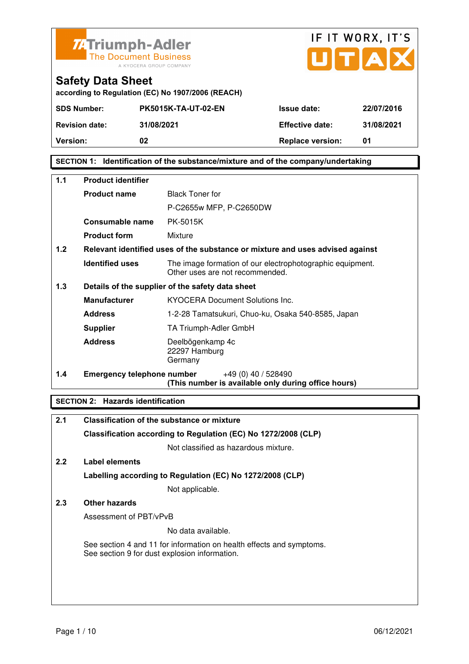



| according to Regulation (EC) No 1907/2006 (REACH) |  |  |  |
|---------------------------------------------------|--|--|--|
|---------------------------------------------------|--|--|--|

| <b>SDS Number:</b>    | <b>PK5015K-TA-UT-02-EN</b> | <b>Issue date:</b>      | 22/07/2016 |
|-----------------------|----------------------------|-------------------------|------------|
| <b>Revision date:</b> | 31/08/2021                 | <b>Effective date:</b>  | 31/08/2021 |
| <b>Version:</b>       | 02                         | <b>Replace version:</b> | 01         |

## **SECTION 1: Identification of the substance/mixture and of the company/undertaking**

| $1.1$ | <b>Product identifier</b>         |                                                                                              |  |  |  |
|-------|-----------------------------------|----------------------------------------------------------------------------------------------|--|--|--|
|       | <b>Product name</b>               | <b>Black Toner for</b>                                                                       |  |  |  |
|       |                                   | P-C2655w MFP, P-C2650DW                                                                      |  |  |  |
|       | Consumable name                   | PK-5015K                                                                                     |  |  |  |
|       | <b>Product form</b>               | Mixture                                                                                      |  |  |  |
| 1.2   |                                   | Relevant identified uses of the substance or mixture and uses advised against                |  |  |  |
|       | <b>Identified uses</b>            | The image formation of our electrophotographic equipment.<br>Other uses are not recommended. |  |  |  |
| 1.3   |                                   | Details of the supplier of the safety data sheet                                             |  |  |  |
|       | <b>Manufacturer</b>               | <b>KYOCERA Document Solutions Inc.</b>                                                       |  |  |  |
|       | <b>Address</b>                    | 1-2-28 Tamatsukuri, Chuo-ku, Osaka 540-8585, Japan                                           |  |  |  |
|       | <b>Supplier</b>                   | TA Triumph-Adler GmbH                                                                        |  |  |  |
|       | <b>Address</b>                    | Deelbögenkamp 4c<br>22297 Hamburg<br>Germany                                                 |  |  |  |
| 1.4   | <b>Emergency telephone number</b> | +49 (0) 40 / 528490<br>(This number is available only during office hours)                   |  |  |  |

## **SECTION 2: Hazards identification**

| 2.1           | <b>Classification of the substance or mixture</b>                                                                     |
|---------------|-----------------------------------------------------------------------------------------------------------------------|
|               | Classification according to Regulation (EC) No 1272/2008 (CLP)                                                        |
|               | Not classified as hazardous mixture.                                                                                  |
| $2.2^{\circ}$ | Label elements                                                                                                        |
|               | Labelling according to Regulation (EC) No 1272/2008 (CLP)                                                             |
|               | Not applicable.                                                                                                       |
| 2.3           | Other hazards                                                                                                         |
|               | Assessment of PBT/vPvB                                                                                                |
|               | No data available.                                                                                                    |
|               | See section 4 and 11 for information on health effects and symptoms.<br>See section 9 for dust explosion information. |
|               |                                                                                                                       |
|               |                                                                                                                       |
|               |                                                                                                                       |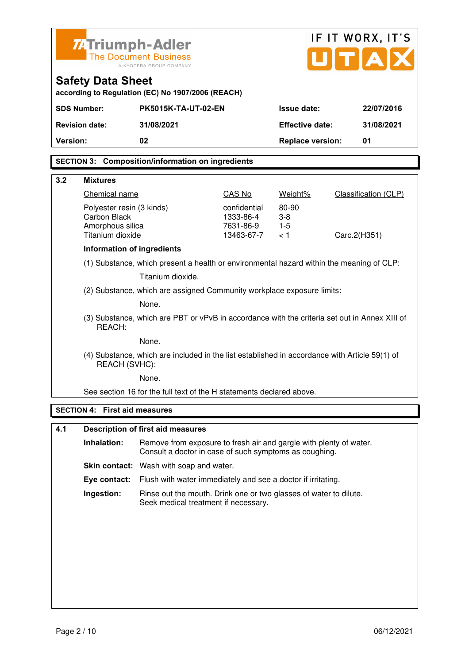| IF IT WORX, IT'S<br><b>ZATriumph-Adler</b>                                           |                                                                               |                                                                                                                              |                        |                         |  |                      |
|--------------------------------------------------------------------------------------|-------------------------------------------------------------------------------|------------------------------------------------------------------------------------------------------------------------------|------------------------|-------------------------|--|----------------------|
|                                                                                      | TA<br><b>The Document Business</b><br>A KYOCERA GROUP COMPANY                 |                                                                                                                              |                        |                         |  |                      |
|                                                                                      | <b>Safety Data Sheet</b><br>according to Regulation (EC) No 1907/2006 (REACH) |                                                                                                                              |                        |                         |  |                      |
| <b>SDS Number:</b><br><b>PK5015K-TA-UT-02-EN</b><br><b>Issue date:</b><br>22/07/2016 |                                                                               |                                                                                                                              |                        |                         |  |                      |
|                                                                                      | <b>Revision date:</b>                                                         | 31/08/2021                                                                                                                   |                        | <b>Effective date:</b>  |  | 31/08/2021           |
| <b>Version:</b>                                                                      |                                                                               | 02                                                                                                                           |                        | <b>Replace version:</b> |  | 01                   |
|                                                                                      |                                                                               | <b>SECTION 3: Composition/information on ingredients</b>                                                                     |                        |                         |  |                      |
| 3.2                                                                                  | <b>Mixtures</b>                                                               |                                                                                                                              |                        |                         |  |                      |
|                                                                                      | Chemical name                                                                 |                                                                                                                              | CAS No                 | Weight%                 |  | Classification (CLP) |
|                                                                                      | Polyester resin (3 kinds)                                                     |                                                                                                                              | confidential           | 80-90                   |  |                      |
|                                                                                      | Carbon Black<br>Amorphous silica                                              |                                                                                                                              | 1333-86-4<br>7631-86-9 | $3-8$<br>$1-5$          |  |                      |
|                                                                                      | Titanium dioxide                                                              |                                                                                                                              | 13463-67-7             | < 1                     |  | Carc.2(H351)         |
|                                                                                      | <b>Information of ingredients</b>                                             |                                                                                                                              |                        |                         |  |                      |
|                                                                                      |                                                                               | (1) Substance, which present a health or environmental hazard within the meaning of CLP:                                     |                        |                         |  |                      |
|                                                                                      |                                                                               | Titanium dioxide.                                                                                                            |                        |                         |  |                      |
|                                                                                      |                                                                               | (2) Substance, which are assigned Community workplace exposure limits:                                                       |                        |                         |  |                      |
|                                                                                      |                                                                               | None.                                                                                                                        |                        |                         |  |                      |
|                                                                                      | REACH:                                                                        | (3) Substance, which are PBT or vPvB in accordance with the criteria set out in Annex XIII of                                |                        |                         |  |                      |
|                                                                                      |                                                                               | None.                                                                                                                        |                        |                         |  |                      |
|                                                                                      | REACH (SVHC):                                                                 | (4) Substance, which are included in the list established in accordance with Article 59(1) of                                |                        |                         |  |                      |
|                                                                                      |                                                                               | None.                                                                                                                        |                        |                         |  |                      |
|                                                                                      |                                                                               | See section 16 for the full text of the H statements declared above.                                                         |                        |                         |  |                      |
|                                                                                      | <b>SECTION 4:</b>                                                             | <b>First aid measures</b>                                                                                                    |                        |                         |  |                      |
| 4.1                                                                                  |                                                                               | <b>Description of first aid measures</b>                                                                                     |                        |                         |  |                      |
|                                                                                      | Inhalation:                                                                   | Remove from exposure to fresh air and gargle with plenty of water.<br>Consult a doctor in case of such symptoms as coughing. |                        |                         |  |                      |
|                                                                                      |                                                                               | <b>Skin contact:</b> Wash with soap and water.                                                                               |                        |                         |  |                      |
|                                                                                      | Eye contact:                                                                  | Flush with water immediately and see a doctor if irritating.                                                                 |                        |                         |  |                      |
|                                                                                      | Ingestion:                                                                    | Rinse out the mouth. Drink one or two glasses of water to dilute.<br>Seek medical treatment if necessary.                    |                        |                         |  |                      |
|                                                                                      |                                                                               |                                                                                                                              |                        |                         |  |                      |
|                                                                                      |                                                                               |                                                                                                                              |                        |                         |  |                      |
|                                                                                      |                                                                               |                                                                                                                              |                        |                         |  |                      |
|                                                                                      |                                                                               |                                                                                                                              |                        |                         |  |                      |
|                                                                                      |                                                                               |                                                                                                                              |                        |                         |  |                      |
|                                                                                      |                                                                               |                                                                                                                              |                        |                         |  |                      |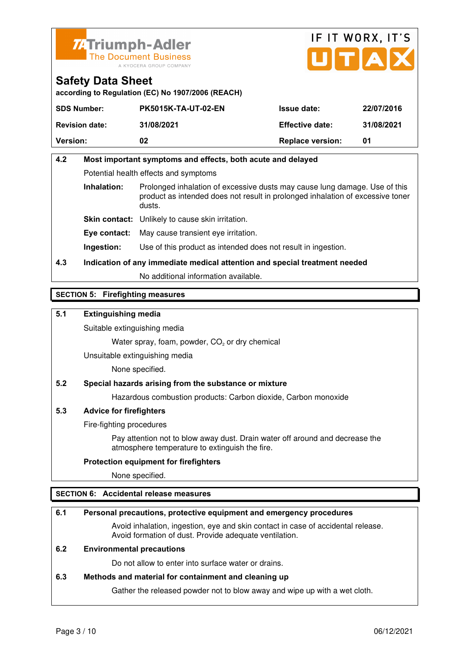



**according to Regulation (EC) No 1907/2006 (REACH)**

| <b>SDS Number:</b>    | <b>PK5015K-TA-UT-02-EN</b> | <b>Issue date:</b>      | 22/07/2016 |
|-----------------------|----------------------------|-------------------------|------------|
| <b>Revision date:</b> | 31/08/2021                 | <b>Effective date:</b>  | 31/08/2021 |
| <b>Version:</b>       | 02                         | <b>Replace version:</b> | 01         |

# **4.2 Most important symptoms and effects, both acute and delayed**  Potential health effects and symptoms **Inhalation:** Prolonged inhalation of excessive dusts may cause lung damage. Use of this product as intended does not result in prolonged inhalation of excessive toner dusts. **Skin contact:** Unlikely to cause skin irritation.

**Eye contact:** May cause transient eye irritation.

**Ingestion:** Use of this product as intended does not result in ingestion.

**4.3 Indication of any immediate medical attention and special treatment needed** 

No additional information available.

## **SECTION 5: Firefighting measures**

## **5.1 Extinguishing media**

Suitable extinguishing media

Water spray, foam, powder,  $CO<sub>2</sub>$  or dry chemical

Unsuitable extinguishing media

None specified.

## **5.2 Special hazards arising from the substance or mixture**

Hazardous combustion products: Carbon dioxide, Carbon monoxide

## **5.3 Advice for firefighters**

Fire-fighting procedures

 Pay attention not to blow away dust. Drain water off around and decrease the atmosphere temperature to extinguish the fire.

### **Protection equipment for firefighters**

None specified.

## **SECTION 6: Accidental release measures**

### **6.1 Personal precautions, protective equipment and emergency procedures**

 Avoid inhalation, ingestion, eye and skin contact in case of accidental release. Avoid formation of dust. Provide adequate ventilation.

## **6.2 Environmental precautions**

Do not allow to enter into surface water or drains.

### **6.3 Methods and material for containment and cleaning up**

Gather the released powder not to blow away and wipe up with a wet cloth.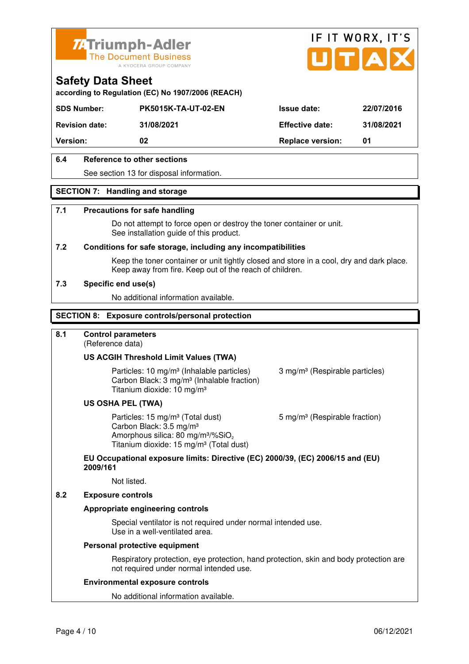



**according to Regulation (EC) No 1907/2006 (REACH)**

| <b>SDS Number:</b>    | <b>PK5015K-TA-UT-02-EN</b> | <b>Issue date:</b>      | 22/07/2016 |
|-----------------------|----------------------------|-------------------------|------------|
| <b>Revision date:</b> | 31/08/2021                 | <b>Effective date:</b>  | 31/08/2021 |
| <b>Version:</b>       | 02                         | <b>Replace version:</b> | 01         |
|                       |                            |                         |            |

## **6.4 Reference to other sections**

See section 13 for disposal information.

### **SECTION 7: Handling and storage**

### **7.1 Precautions for safe handling**

 Do not attempt to force open or destroy the toner container or unit. See installation guide of this product.

### **7.2 Conditions for safe storage, including any incompatibilities**

Keep the toner container or unit tightly closed and store in a cool, dry and dark place. Keep away from fire. Keep out of the reach of children.

### **7.3 Specific end use(s)**

No additional information available.

### **SECTION 8: Exposure controls/personal protection**

## **8.1 Control parameters**

(Reference data)

### **US ACGIH Threshold Limit Values (TWA)**

Particles: 10 mg/m<sup>3</sup> (Inhalable particles) 3 mg/m<sup>3</sup> (Respirable particles) Carbon Black: 3 mg/m³ (Inhalable fraction) Titanium dioxide: 10 mg/m³

### **US OSHA PEL (TWA)**

Particles: 15 mg/m<sup>3</sup> (Total dust) 5 mg/m<sup>3</sup> (Respirable fraction) Carbon Black: 3.5 mg/m³ Amorphous silica:  $80 \text{ mg/m}^3/\% \text{SiO}_2$ Titanium dioxide: 15 mg/m<sup>3</sup> (Total dust)

## **EU Occupational exposure limits: Directive (EC) 2000/39, (EC) 2006/15 and (EU) 2009/161**

Not listed.

### **8.2 Exposure controls**

### **Appropriate engineering controls**

 Special ventilator is not required under normal intended use. Use in a well-ventilated area.

### **Personal protective equipment**

 Respiratory protection, eye protection, hand protection, skin and body protection are not required under normal intended use.

### **Environmental exposure controls**

No additional information available.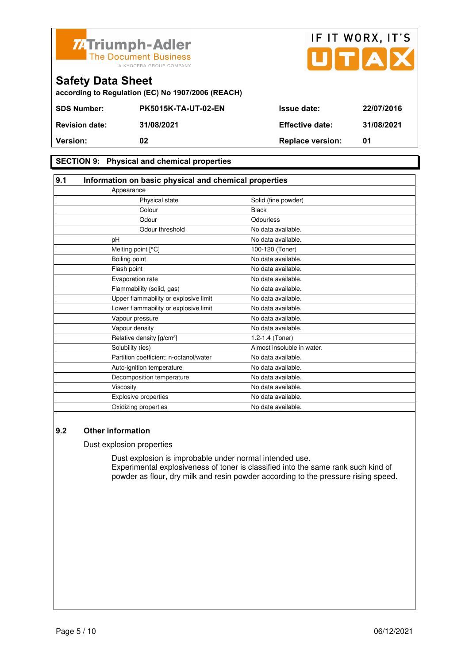



**SECTION 9: Physical and chemical properties** 

| 9.1 | Information on basic physical and chemical properties |                            |  |
|-----|-------------------------------------------------------|----------------------------|--|
|     | Appearance                                            |                            |  |
|     | Physical state                                        | Solid (fine powder)        |  |
|     | Colour                                                | <b>Black</b>               |  |
|     | Odour                                                 | <b>Odourless</b>           |  |
|     | Odour threshold                                       | No data available.         |  |
|     | pH                                                    | No data available.         |  |
|     | Melting point [°C]                                    | 100-120 (Toner)            |  |
|     | Boiling point                                         | No data available.         |  |
|     | Flash point                                           | No data available.         |  |
|     | Evaporation rate                                      | No data available.         |  |
|     | Flammability (solid, gas)                             | No data available.         |  |
|     | Upper flammability or explosive limit                 | No data available.         |  |
|     | Lower flammability or explosive limit                 | No data available.         |  |
|     | Vapour pressure                                       | No data available.         |  |
|     | Vapour density                                        | No data available.         |  |
|     | Relative density [g/cm <sup>3</sup> ]                 | 1.2-1.4 (Toner)            |  |
|     | Solubility (ies)                                      | Almost insoluble in water. |  |
|     | Partition coefficient: n-octanol/water                | No data available.         |  |
|     | Auto-ignition temperature                             | No data available.         |  |
|     | Decomposition temperature                             | No data available.         |  |
|     | Viscosity                                             | No data available.         |  |
|     | <b>Explosive properties</b>                           | No data available.         |  |
|     | Oxidizing properties                                  | No data available.         |  |

### **9.2 Other information**

Dust explosion properties

 Dust explosion is improbable under normal intended use. Experimental explosiveness of toner is classified into the same rank such kind of powder as flour, dry milk and resin powder according to the pressure rising speed.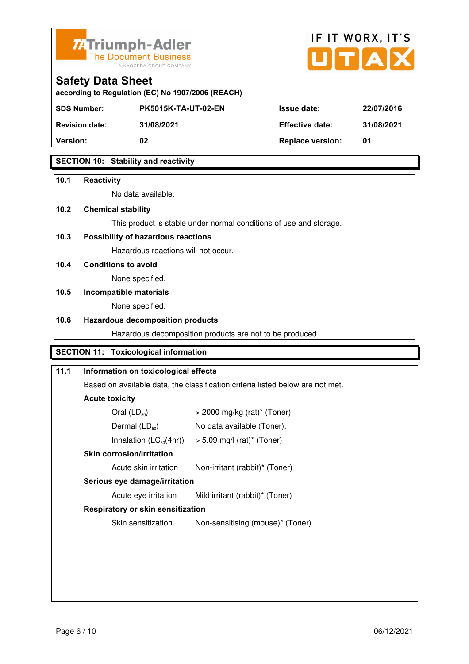



| <b>Safety Data Sheet</b>                          |
|---------------------------------------------------|
| according to Regulation (EC) No 1907/2006 (REACH) |

| <b>SDS Number:</b>    | <b>PK5015K-TA-UT-02-EN</b> | <b>Issue date:</b>      | 22/07/2016 |
|-----------------------|----------------------------|-------------------------|------------|
| <b>Revision date:</b> | 31/08/2021                 | <b>Effective date:</b>  | 31/08/2021 |
| <b>Version:</b>       | 02                         | <b>Replace version:</b> | 01         |
|                       |                            |                         |            |

## **SECTION 10: Stability and reactivity**

| 10.1 | <b>Reactivity</b>                            |                                                                                |
|------|----------------------------------------------|--------------------------------------------------------------------------------|
|      | No data available.                           |                                                                                |
| 10.2 | <b>Chemical stability</b>                    |                                                                                |
|      |                                              | This product is stable under normal conditions of use and storage.             |
| 10.3 | Possibility of hazardous reactions           |                                                                                |
|      | Hazardous reactions will not occur.          |                                                                                |
| 10.4 | <b>Conditions to avoid</b>                   |                                                                                |
|      | None specified.                              |                                                                                |
| 10.5 | Incompatible materials                       |                                                                                |
|      | None specified.                              |                                                                                |
| 10.6 | <b>Hazardous decomposition products</b>      |                                                                                |
|      |                                              | Hazardous decomposition products are not to be produced.                       |
|      | <b>SECTION 11: Toxicological information</b> |                                                                                |
| 11.1 | Information on toxicological effects         |                                                                                |
|      |                                              | Based on available data, the classification criteria listed below are not met. |
|      | <b>Acute toxicity</b>                        |                                                                                |
|      | Oral $(LD_{50})$                             | $>$ 2000 mg/kg (rat)* (Toner)                                                  |
|      | Dermal $(LD_{50})$                           | No data available (Toner).                                                     |
|      | Inhalation $(LC_{50}(4hr))$                  | $> 5.09$ mg/l (rat)* (Toner)                                                   |
|      | <b>Skin corrosion/irritation</b>             |                                                                                |

Acute skin irritation Non-irritant (rabbit)\* (Toner)

 **Serious eye damage/irritation** 

Acute eye irritation Mild irritant (rabbit)\* (Toner)

## **Respiratory or skin sensitization**

Skin sensitization Mon-sensitising (mouse)\* (Toner)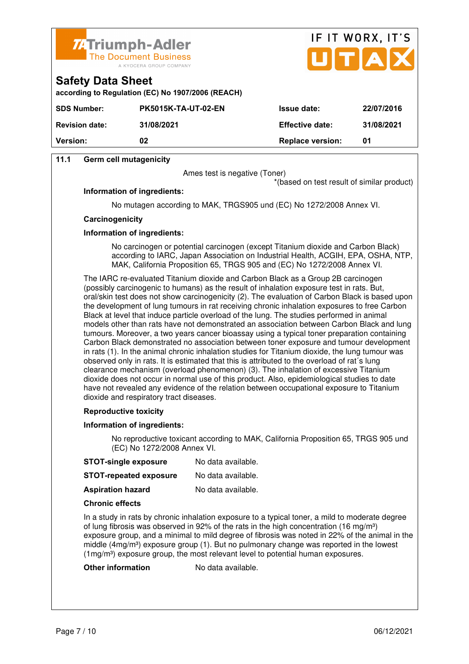



**according to Regulation (EC) No 1907/2006 (REACH)**

| <b>SDS Number:</b>    | <b>PK5015K-TA-UT-02-EN</b> | <b>Issue date:</b>      | 22/07/2016 |
|-----------------------|----------------------------|-------------------------|------------|
| <b>Revision date:</b> | 31/08/2021                 | <b>Effective date:</b>  | 31/08/2021 |
| <b>Version:</b>       | 02                         | <b>Replace version:</b> | 01         |
|                       |                            |                         |            |

## **11.1 Germ cell mutagenicity**

**Safety Data Sheet** 

Ames test is negative (Toner)

\*(based on test result of similar product)

### **Information of ingredients:**

No mutagen according to MAK, TRGS905 und (EC) No 1272/2008 Annex VI.

### **Carcinogenicity**

### **Information of ingredients:**

 No carcinogen or potential carcinogen (except Titanium dioxide and Carbon Black) according to IARC, Japan Association on Industrial Health, ACGIH, EPA, OSHA, NTP, MAK, California Proposition 65, TRGS 905 and (EC) No 1272/2008 Annex VI.

 The IARC re-evaluated Titanium dioxide and Carbon Black as a Group 2B carcinogen (possibly carcinogenic to humans) as the result of inhalation exposure test in rats. But, oral/skin test does not show carcinogenicity (2). The evaluation of Carbon Black is based upon the development of lung tumours in rat receiving chronic inhalation exposures to free Carbon Black at level that induce particle overload of the lung. The studies performed in animal models other than rats have not demonstrated an association between Carbon Black and lung tumours. Moreover, a two years cancer bioassay using a typical toner preparation containing Carbon Black demonstrated no association between toner exposure and tumour development in rats (1). In the animal chronic inhalation studies for Titanium dioxide, the lung tumour was observed only in rats. It is estimated that this is attributed to the overload of rat´s lung clearance mechanism (overload phenomenon) (3). The inhalation of excessive Titanium dioxide does not occur in normal use of this product. Also, epidemiological studies to date have not revealed any evidence of the relation between occupational exposure to Titanium dioxide and respiratory tract diseases.

### **Reproductive toxicity**

### **Information of ingredients:**

 No reproductive toxicant according to MAK, California Proposition 65, TRGS 905 und (EC) No 1272/2008 Annex VI.

- **STOT-repeated exposure** No data available.
- **Aspiration hazard** No data available.

### **Chronic effects**

 In a study in rats by chronic inhalation exposure to a typical toner, a mild to moderate degree of lung fibrosis was observed in 92% of the rats in the high concentration (16 mg/m<sup>3</sup>) exposure group, and a minimal to mild degree of fibrosis was noted in 22% of the animal in the middle  $(4mg/m<sup>3</sup>)$  exposure group (1). But no pulmonary change was reported in the lowest (1mg/m³) exposure group, the most relevant level to potential human exposures.

### **Other information** No data available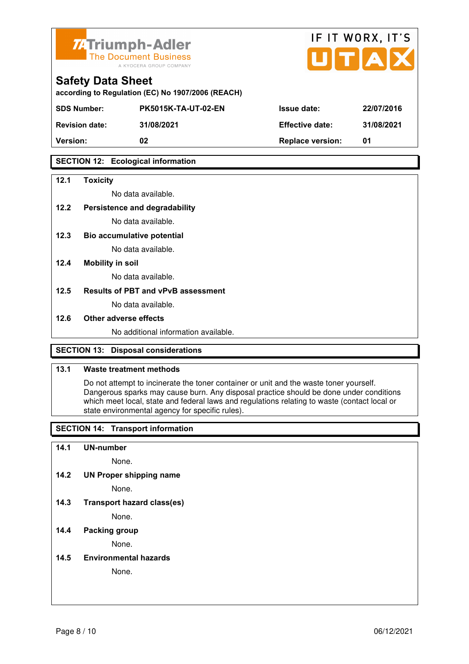



| according to Regulation (EC) No 1907/2006 (REACH) |  |  |
|---------------------------------------------------|--|--|

| <b>SDS Number:</b>    | <b>PK5015K-TA-UT-02-EN</b> | <b>Issue date:</b>      | 22/07/2016 |
|-----------------------|----------------------------|-------------------------|------------|
| <b>Revision date:</b> | 31/08/2021                 | <b>Effective date:</b>  | 31/08/2021 |
| <b>Version:</b>       | 02                         | <b>Replace version:</b> | 01         |
|                       |                            |                         |            |

## **SECTION 12: Ecological information**

### **12.1 Toxicity**

No data available.

## **12.2 Persistence and degradability**

No data available.

**12.3 Bio accumulative potential** 

No data available.

### **12.4 Mobility in soil**

No data available.

### **12.5 Results of PBT and vPvB assessment**

No data available.

### **12.6 Other adverse effects**

No additional information available.

## **SECTION 13: Disposal considerations**

### **13.1 Waste treatment methods**

 Do not attempt to incinerate the toner container or unit and the waste toner yourself. Dangerous sparks may cause burn. Any disposal practice should be done under conditions which meet local, state and federal laws and regulations relating to waste (contact local or state environmental agency for specific rules).

## **SECTION 14: Transport information**

### **14.1 UN-number**

None.

**14.2 UN Proper shipping name** 

None.

**14.3 Transport hazard class(es)** 

None.

## **14.4 Packing group**

None.

**14.5 Environmental hazards** 

None.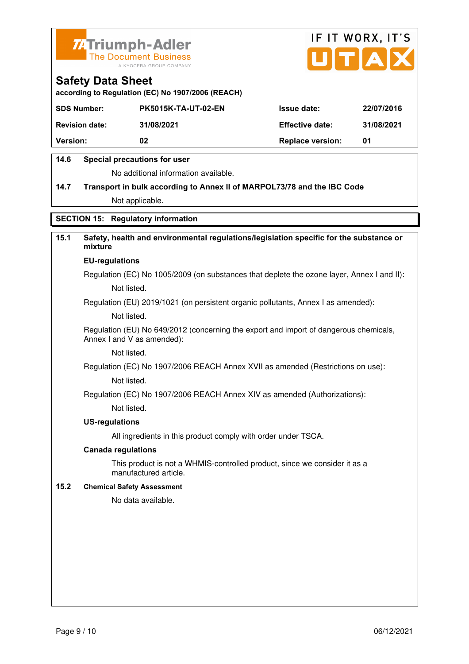



**according to Regulation (EC) No 1907/2006 (REACH)**

| <b>SDS Number:</b>    | <b>PK5015K-TA-UT-02-EN</b> | <b>Issue date:</b>      | 22/07/2016 |
|-----------------------|----------------------------|-------------------------|------------|
| <b>Revision date:</b> | 31/08/2021                 | <b>Effective date:</b>  | 31/08/2021 |
| <b>Version:</b>       | 02                         | <b>Replace version:</b> | 01         |

## **14.6 Special precautions for user**

No additional information available.

# **14.7 Transport in bulk according to Annex II of MARPOL73/78 and the IBC Code** Not applicable.

## **SECTION 15: Regulatory information**

# **15.1 Safety, health and environmental regulations/legislation specific for the substance or mixture**

### **EU-regulations**

Regulation (EC) No 1005/2009 (on substances that deplete the ozone layer, Annex I and II): Not listed.

Regulation (EU) 2019/1021 (on persistent organic pollutants, Annex I as amended):

Not listed.

 Regulation (EU) No 649/2012 (concerning the export and import of dangerous chemicals, Annex I and V as amended):

Not listed.

 Regulation (EC) No 1907/2006 REACH Annex XVII as amended (Restrictions on use): Not listed.

Regulation (EC) No 1907/2006 REACH Annex XIV as amended (Authorizations):

Not listed.

### **US-regulations**

All ingredients in this product comply with order under TSCA.

### **Canada regulations**

 This product is not a WHMIS-controlled product, since we consider it as a manufactured article.

### **15.2 Chemical Safety Assessment**

No data available.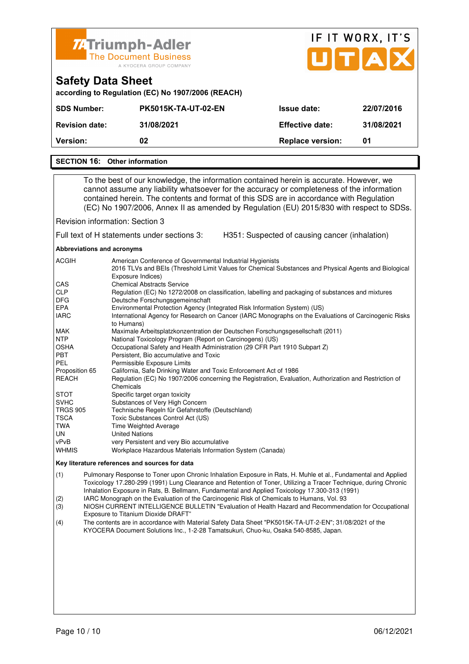

| <b><i>II</i></b> IIIIIIIIIIIITAUGI<br><b>The Document Business</b><br>A KYOCERA GROUP COMPANY |                                                   |                         | UTAX       |  |  |
|-----------------------------------------------------------------------------------------------|---------------------------------------------------|-------------------------|------------|--|--|
| <b>Safety Data Sheet</b>                                                                      | according to Regulation (EC) No 1907/2006 (REACH) |                         |            |  |  |
| <b>SDS Number:</b>                                                                            | <b>PK5015K-TA-UT-02-EN</b>                        | <b>Issue date:</b>      | 22/07/2016 |  |  |
| <b>Revision date:</b>                                                                         | 31/08/2021                                        | <b>Effective date:</b>  | 31/08/2021 |  |  |
| <b>Version:</b>                                                                               | 02                                                | <b>Replace version:</b> | 01         |  |  |
|                                                                                               |                                                   |                         |            |  |  |

IF IT WORX, IT'S

### **SECTION 16: Other information**

 To the best of our knowledge, the information contained herein is accurate. However, we cannot assume any liability whatsoever for the accuracy or completeness of the information contained herein. The contents and format of this SDS are in accordance with Regulation (EC) No 1907/2006, Annex II as amended by Regulation (EU) 2015/830 with respect to SDSs.

Revision information: Section 3

Full text of H statements under sections 3: H351: Suspected of causing cancer (inhalation)

### **Abbreviations and acronyms**

| <b>ACGIH</b>    | American Conference of Governmental Industrial Hygienists                                                                  |
|-----------------|----------------------------------------------------------------------------------------------------------------------------|
|                 | 2016 TLVs and BEIs (Threshold Limit Values for Chemical Substances and Physical Agents and Biological<br>Exposure Indices) |
| CAS             | <b>Chemical Abstracts Service</b>                                                                                          |
| <b>CLP</b>      | Regulation (EC) No 1272/2008 on classification, labelling and packaging of substances and mixtures                         |
| <b>DFG</b>      | Deutsche Forschungsgemeinschaft                                                                                            |
| EPA             | Environmental Protection Agency (Integrated Risk Information System) (US)                                                  |
| <b>IARC</b>     | International Agency for Research on Cancer (IARC Monographs on the Evaluations of Carcinogenic Risks<br>to Humans)        |
| MAK             | Maximale Arbeitsplatzkonzentration der Deutschen Forschungsgesellschaft (2011)                                             |
| <b>NTP</b>      | National Toxicology Program (Report on Carcinogens) (US)                                                                   |
| <b>OSHA</b>     | Occupational Safety and Health Administration (29 CFR Part 1910 Subpart Z)                                                 |
| <b>PBT</b>      | Persistent, Bio accumulative and Toxic                                                                                     |
| PEL             | Permissible Exposure Limits                                                                                                |
| Proposition 65  | California, Safe Drinking Water and Toxic Enforcement Act of 1986                                                          |
| REACH           | Regulation (EC) No 1907/2006 concerning the Registration, Evaluation, Authorization and Restriction of                     |
|                 | Chemicals                                                                                                                  |
| <b>STOT</b>     | Specific target organ toxicity                                                                                             |
| <b>SVHC</b>     | Substances of Very High Concern                                                                                            |
| <b>TRGS 905</b> | Technische Regeln für Gefahrstoffe (Deutschland)                                                                           |
| <b>TSCA</b>     | Toxic Substances Control Act (US)                                                                                          |
| TWA             | <b>Time Weighted Average</b>                                                                                               |
| UN.             | <b>United Nations</b>                                                                                                      |
| vPvB            | very Persistent and very Bio accumulative                                                                                  |
| <b>WHMIS</b>    | Workplace Hazardous Materials Information System (Canada)                                                                  |

#### **Key literature references and sources for data**

(1) Pulmonary Response to Toner upon Chronic Inhalation Exposure in Rats, H. Muhle et al., Fundamental and Applied Toxicology 17.280-299 (1991) Lung Clearance and Retention of Toner, Utilizing a Tracer Technique, during Chronic Inhalation Exposure in Rats, B. Bellmann, Fundamental and Applied Toxicology 17.300-313 (1991)

- (2) IARC Monograph on the Evaluation of the Carcinogenic Risk of Chemicals to Humans, Vol. 93
- (3) NIOSH CURRENT INTELLIGENCE BULLETIN "Evaluation of Health Hazard and Recommendation for Occupational Exposure to Titanium Dioxide DRAFT"
- (4) The contents are in accordance with Material Safety Data Sheet "PK5015K-TA-UT-2-EN"; 31/08/2021 of the KYOCERA Document Solutions Inc., 1-2-28 Tamatsukuri, Chuo-ku, Osaka 540-8585, Japan.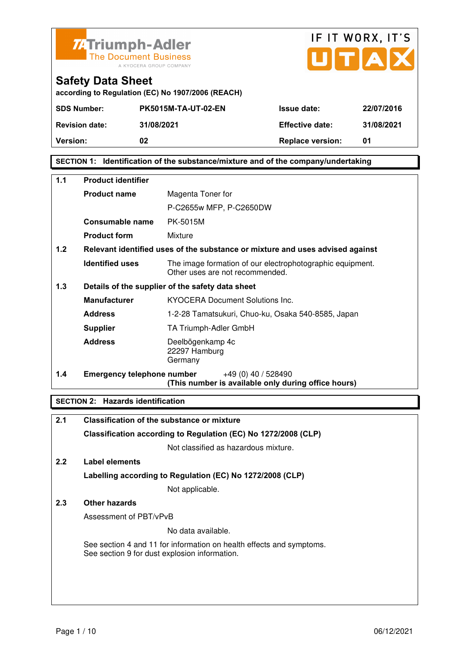



| according to Regulation (EC) No 1907/2006 (REACH) |  |  |
|---------------------------------------------------|--|--|

| <b>SDS Number:</b>    | <b>PK5015M-TA-UT-02-EN</b> | <b>Issue date:</b>      | 22/07/2016 |
|-----------------------|----------------------------|-------------------------|------------|
| <b>Revision date:</b> | 31/08/2021                 | <b>Effective date:</b>  | 31/08/2021 |
| <b>Version:</b>       | 02                         | <b>Replace version:</b> | 01         |

## **SECTION 1: Identification of the substance/mixture and of the company/undertaking**

| 1.1 | <b>Product identifier</b>         |                                                                                              |  |
|-----|-----------------------------------|----------------------------------------------------------------------------------------------|--|
|     | <b>Product name</b>               | Magenta Toner for                                                                            |  |
|     |                                   | P-C2655w MFP, P-C2650DW                                                                      |  |
|     | Consumable name                   | PK-5015M                                                                                     |  |
|     | <b>Product form</b>               | Mixture                                                                                      |  |
| 1.2 |                                   | Relevant identified uses of the substance or mixture and uses advised against                |  |
|     | <b>Identified uses</b>            | The image formation of our electrophotographic equipment.<br>Other uses are not recommended. |  |
| 1.3 |                                   | Details of the supplier of the safety data sheet                                             |  |
|     | <b>Manufacturer</b>               | <b>KYOCERA Document Solutions Inc.</b>                                                       |  |
|     | <b>Address</b>                    | 1-2-28 Tamatsukuri, Chuo-ku, Osaka 540-8585, Japan                                           |  |
|     | <b>Supplier</b>                   | TA Triumph-Adler GmbH                                                                        |  |
|     | <b>Address</b>                    | Deelbögenkamp 4c<br>22297 Hamburg<br>Germany                                                 |  |
| 1.4 | <b>Emergency telephone number</b> | $+49(0)$ 40 / 528490<br>(This number is available only during office hours)                  |  |

## **SECTION 2: Hazards identification**

| 2.1           | <b>Classification of the substance or mixture</b>                                                                     |
|---------------|-----------------------------------------------------------------------------------------------------------------------|
|               | Classification according to Regulation (EC) No 1272/2008 (CLP)                                                        |
|               | Not classified as hazardous mixture.                                                                                  |
| $2.2^{\circ}$ | Label elements                                                                                                        |
|               | Labelling according to Regulation (EC) No 1272/2008 (CLP)                                                             |
|               | Not applicable.                                                                                                       |
| 2.3           | Other hazards                                                                                                         |
|               | Assessment of PBT/vPvB                                                                                                |
|               | No data available.                                                                                                    |
|               | See section 4 and 11 for information on health effects and symptoms.<br>See section 9 for dust explosion information. |
|               |                                                                                                                       |
|               |                                                                                                                       |
|               |                                                                                                                       |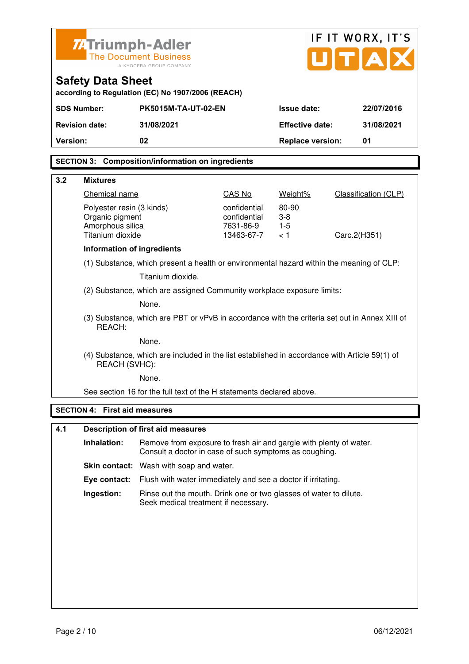|                 | IF IT WORX, IT'S<br><b>ZATriumph-Adler</b>                      |                                                                                                                              |                           |                         |  |                             |
|-----------------|-----------------------------------------------------------------|------------------------------------------------------------------------------------------------------------------------------|---------------------------|-------------------------|--|-----------------------------|
|                 | JITA<br><b>The Document Business</b><br>A KYOCERA GROUP COMPANY |                                                                                                                              |                           |                         |  |                             |
|                 | <b>Safety Data Sheet</b>                                        | according to Regulation (EC) No 1907/2006 (REACH)                                                                            |                           |                         |  |                             |
|                 | <b>SDS Number:</b>                                              | <b>PK5015M-TA-UT-02-EN</b>                                                                                                   |                           | <b>Issue date:</b>      |  | 22/07/2016                  |
|                 | <b>Revision date:</b>                                           | 31/08/2021                                                                                                                   |                           | <b>Effective date:</b>  |  | 31/08/2021                  |
| <b>Version:</b> |                                                                 | 02                                                                                                                           |                           | <b>Replace version:</b> |  | 01                          |
|                 |                                                                 | <b>SECTION 3: Composition/information on ingredients</b>                                                                     |                           |                         |  |                             |
| 3.2             | <b>Mixtures</b>                                                 |                                                                                                                              |                           |                         |  |                             |
|                 | Chemical name                                                   |                                                                                                                              | CAS No                    | Weight%                 |  | <b>Classification (CLP)</b> |
|                 | Polyester resin (3 kinds)                                       |                                                                                                                              | confidential              | 80-90                   |  |                             |
|                 | Organic pigment<br>Amorphous silica                             |                                                                                                                              | confidential<br>7631-86-9 | $3-8$<br>$1 - 5$        |  |                             |
|                 | Titanium dioxide                                                |                                                                                                                              | 13463-67-7                | < 1                     |  | Carc.2(H351)                |
|                 | Information of ingredients                                      |                                                                                                                              |                           |                         |  |                             |
|                 |                                                                 | (1) Substance, which present a health or environmental hazard within the meaning of CLP:                                     |                           |                         |  |                             |
|                 |                                                                 | Titanium dioxide.                                                                                                            |                           |                         |  |                             |
|                 |                                                                 | (2) Substance, which are assigned Community workplace exposure limits:                                                       |                           |                         |  |                             |
|                 |                                                                 | None.                                                                                                                        |                           |                         |  |                             |
|                 | REACH:                                                          | (3) Substance, which are PBT or vPvB in accordance with the criteria set out in Annex XIII of                                |                           |                         |  |                             |
|                 | None.                                                           |                                                                                                                              |                           |                         |  |                             |
|                 | REACH (SVHC):                                                   | (4) Substance, which are included in the list established in accordance with Article 59(1) of                                |                           |                         |  |                             |
|                 |                                                                 | None.                                                                                                                        |                           |                         |  |                             |
|                 |                                                                 | See section 16 for the full text of the H statements declared above.                                                         |                           |                         |  |                             |
|                 | <b>SECTION 4: First aid measures</b>                            |                                                                                                                              |                           |                         |  |                             |
| 4.1             |                                                                 | <b>Description of first aid measures</b>                                                                                     |                           |                         |  |                             |
|                 | Inhalation:                                                     | Remove from exposure to fresh air and gargle with plenty of water.<br>Consult a doctor in case of such symptoms as coughing. |                           |                         |  |                             |
|                 |                                                                 | <b>Skin contact:</b> Wash with soap and water.                                                                               |                           |                         |  |                             |
|                 | Eye contact:                                                    | Flush with water immediately and see a doctor if irritating.                                                                 |                           |                         |  |                             |
|                 | Ingestion:                                                      | Rinse out the mouth. Drink one or two glasses of water to dilute.<br>Seek medical treatment if necessary.                    |                           |                         |  |                             |
|                 |                                                                 |                                                                                                                              |                           |                         |  |                             |
|                 |                                                                 |                                                                                                                              |                           |                         |  |                             |
|                 |                                                                 |                                                                                                                              |                           |                         |  |                             |
|                 |                                                                 |                                                                                                                              |                           |                         |  |                             |
|                 |                                                                 |                                                                                                                              |                           |                         |  |                             |
|                 |                                                                 |                                                                                                                              |                           |                         |  |                             |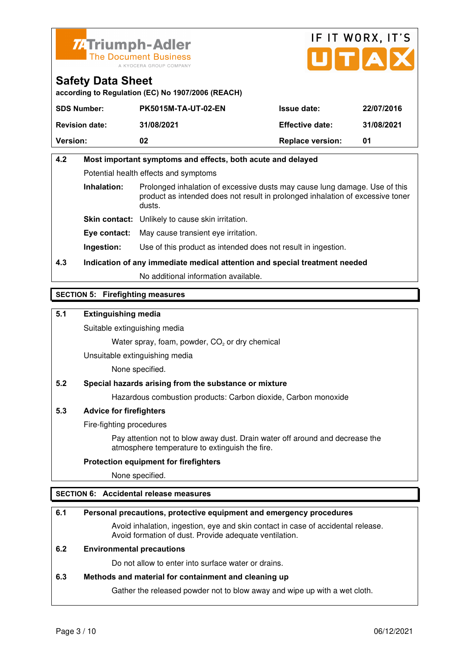



**according to Regulation (EC) No 1907/2006 (REACH)**

| <b>SDS Number:</b>    | <b>PK5015M-TA-UT-02-EN</b> | <b>Issue date:</b>      | 22/07/2016 |
|-----------------------|----------------------------|-------------------------|------------|
| <b>Revision date:</b> | 31/08/2021                 | <b>Effective date:</b>  | 31/08/2021 |
| <b>Version:</b>       | 02                         | <b>Replace version:</b> | 01         |

# **4.2 Most important symptoms and effects, both acute and delayed**  Potential health effects and symptoms **Inhalation:** Prolonged inhalation of excessive dusts may cause lung damage. Use of this product as intended does not result in prolonged inhalation of excessive toner dusts. **Skin contact:** Unlikely to cause skin irritation.

**Eye contact:** May cause transient eye irritation.

**Ingestion:** Use of this product as intended does not result in ingestion.

**4.3 Indication of any immediate medical attention and special treatment needed** 

No additional information available.

## **SECTION 5: Firefighting measures**

## **5.1 Extinguishing media**

Suitable extinguishing media

Water spray, foam, powder,  $CO<sub>2</sub>$  or dry chemical

Unsuitable extinguishing media

None specified.

## **5.2 Special hazards arising from the substance or mixture**

Hazardous combustion products: Carbon dioxide, Carbon monoxide

### **5.3 Advice for firefighters**

Fire-fighting procedures

 Pay attention not to blow away dust. Drain water off around and decrease the atmosphere temperature to extinguish the fire.

### **Protection equipment for firefighters**

None specified.

## **SECTION 6: Accidental release measures**

### **6.1 Personal precautions, protective equipment and emergency procedures**

 Avoid inhalation, ingestion, eye and skin contact in case of accidental release. Avoid formation of dust. Provide adequate ventilation.

### **6.2 Environmental precautions**

Do not allow to enter into surface water or drains.

### **6.3 Methods and material for containment and cleaning up**

Gather the released powder not to blow away and wipe up with a wet cloth.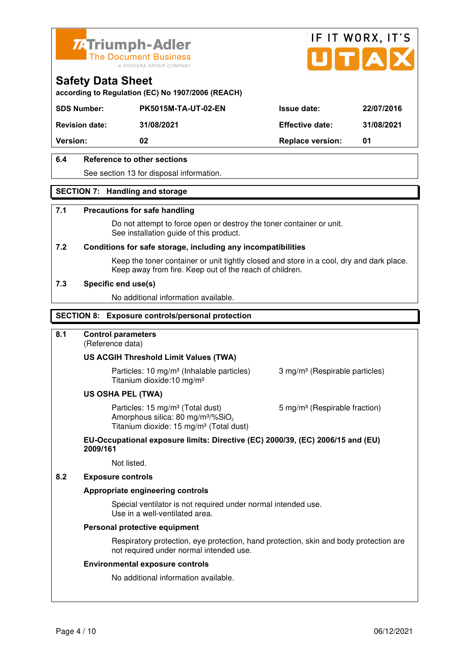



**according to Regulation (EC) No 1907/2006 (REACH)**

| <b>Version:</b>       | 02                         | <b>Replace version:</b> | 01         |
|-----------------------|----------------------------|-------------------------|------------|
| <b>Revision date:</b> | 31/08/2021                 | <b>Effective date:</b>  | 31/08/2021 |
| <b>SDS Number:</b>    | <b>PK5015M-TA-UT-02-EN</b> | <b>Issue date:</b>      | 22/07/2016 |

## **6.4 Reference to other sections**

See section 13 for disposal information.

## **SECTION 7: Handling and storage**

### **7.1 Precautions for safe handling**

 Do not attempt to force open or destroy the toner container or unit. See installation guide of this product.

### **7.2 Conditions for safe storage, including any incompatibilities**

Keep the toner container or unit tightly closed and store in a cool, dry and dark place. Keep away from fire. Keep out of the reach of children.

### **7.3 Specific end use(s)**

No additional information available.

## **SECTION 8: Exposure controls/personal protection**

## **8.1 Control parameters**

(Reference data)

### **US ACGIH Threshold Limit Values (TWA)**

**Particles: 10 mg/m<sup>3</sup> (Inhalable particles) 3 mg/m<sup>3</sup> (Respirable particles)** Titanium dioxide:10 mg/m³

### **US OSHA PEL (TWA)**

Particles: 15 mg/m<sup>3</sup> (Total dust) 5 mg/m<sup>3</sup> (Respirable fraction) Amorphous silica:  $80 \text{ mg/m}^3/\% \text{SiO}_2$ Titanium dioxide: 15 mg/m<sup>3</sup> (Total dust)

### **EU-Occupational exposure limits: Directive (EC) 2000/39, (EC) 2006/15 and (EU) 2009/161**

Not listed.

### **8.2 Exposure controls**

### **Appropriate engineering controls**

 Special ventilator is not required under normal intended use. Use in a well-ventilated area.

### **Personal protective equipment**

 Respiratory protection, eye protection, hand protection, skin and body protection are not required under normal intended use.

### **Environmental exposure controls**

No additional information available.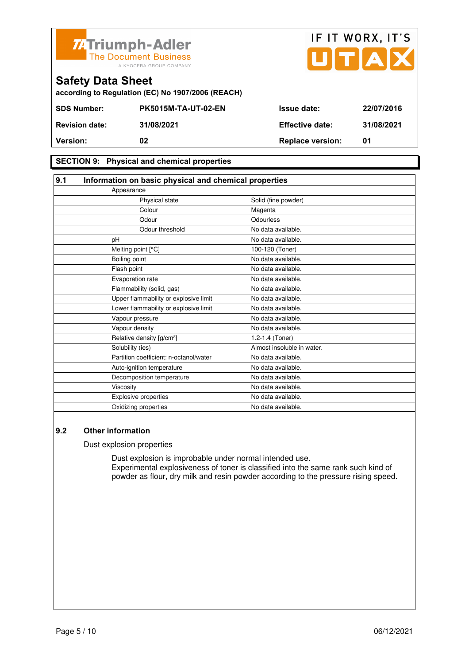

|                          | 74 Triumph-Adler<br>The Document Business<br>A KYOCERA GROUP COMPANY |                        | IF IT WORX, IT'S<br>UTAX |
|--------------------------|----------------------------------------------------------------------|------------------------|--------------------------|
| <b>Safety Data Sheet</b> | according to Regulation (EC) No 1907/2006 (REACH)                    |                        |                          |
| <b>SDS Number:</b>       | <b>PK5015M-TA-UT-02-EN</b>                                           | <b>Issue date:</b>     | 22/07/2016               |
| <b>Revision date:</b>    | 31/08/2021                                                           | <b>Effective date:</b> | 31/08/2021               |
|                          |                                                                      |                        |                          |

## **SECTION 9: Physical and chemical properties**

| 9.1<br>Information on basic physical and chemical properties |                            |  |
|--------------------------------------------------------------|----------------------------|--|
| Appearance                                                   |                            |  |
| Physical state                                               | Solid (fine powder)        |  |
| Colour                                                       | Magenta                    |  |
| Odour                                                        | Odourless                  |  |
| Odour threshold                                              | No data available.         |  |
| pH                                                           | No data available.         |  |
| Melting point [°C]                                           | 100-120 (Toner)            |  |
| Boiling point                                                | No data available.         |  |
| Flash point                                                  | No data available.         |  |
| Evaporation rate                                             | No data available.         |  |
| Flammability (solid, gas)                                    | No data available.         |  |
| Upper flammability or explosive limit                        | No data available.         |  |
| Lower flammability or explosive limit                        | No data available.         |  |
| Vapour pressure                                              | No data available.         |  |
| Vapour density                                               | No data available.         |  |
| Relative density [g/cm <sup>3</sup> ]                        | 1.2-1.4 (Toner)            |  |
| Solubility (ies)                                             | Almost insoluble in water. |  |
| Partition coefficient: n-octanol/water                       | No data available.         |  |
| Auto-ignition temperature                                    | No data available.         |  |
| Decomposition temperature                                    | No data available.         |  |
| Viscosity                                                    | No data available.         |  |
| Explosive properties                                         | No data available.         |  |
| Oxidizing properties                                         | No data available.         |  |

**Version:** 02 02 Replace version: 01

## **9.2 Other information**

Dust explosion properties

 Dust explosion is improbable under normal intended use. Experimental explosiveness of toner is classified into the same rank such kind of powder as flour, dry milk and resin powder according to the pressure rising speed.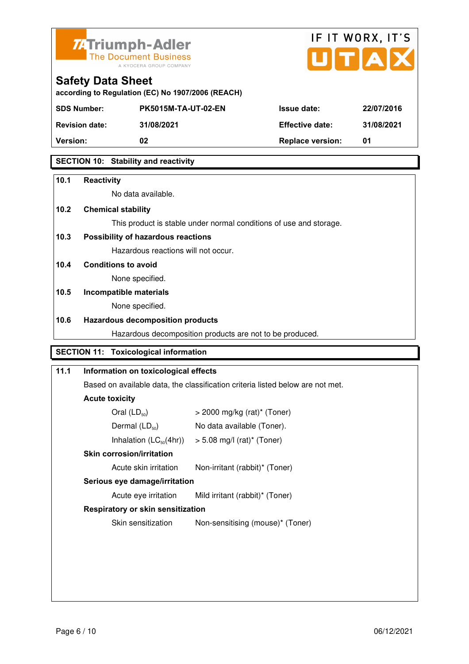



| according to Regulation (EC) No 1907/2006 (REACH) |  |  |
|---------------------------------------------------|--|--|

| <b>SDS Number:</b>    | <b>PK5015M-TA-UT-02-EN</b> | <b>Issue date:</b>      | 22/07/2016 |
|-----------------------|----------------------------|-------------------------|------------|
| <b>Revision date:</b> | 31/08/2021                 | <b>Effective date:</b>  | 31/08/2021 |
| <b>Version:</b>       | 02                         | <b>Replace version:</b> | 01         |
|                       |                            |                         |            |

## **SECTION 10: Stability and reactivity**

| 10.1 | <b>Reactivity</b>                                                              |
|------|--------------------------------------------------------------------------------|
|      | No data available.                                                             |
| 10.2 | <b>Chemical stability</b>                                                      |
|      | This product is stable under normal conditions of use and storage.             |
| 10.3 | Possibility of hazardous reactions                                             |
|      | Hazardous reactions will not occur.                                            |
| 10.4 | <b>Conditions to avoid</b>                                                     |
|      | None specified.                                                                |
| 10.5 | Incompatible materials                                                         |
|      | None specified.                                                                |
| 10.6 | <b>Hazardous decomposition products</b>                                        |
|      | Hazardous decomposition products are not to be produced.                       |
|      | <b>SECTION 11: Toxicological information</b>                                   |
| 11.1 | Information on toxicological effects                                           |
|      | Based on available data, the classification criteria listed below are not met. |
|      | <b>Acute toxicity</b>                                                          |
|      | $Q_{\text{val}}$ $(1, R)$<br>$0.000 \times 10^{10}$ (usi) $\pm$ (Tenes)        |

| <b>Skin corrosion/irritation</b> |                                           |
|----------------------------------|-------------------------------------------|
| Inhalation $(LC_{50}(4hr))$      | $> 5.08$ mg/l (rat) <sup>*</sup> (Toner)  |
| Dermal $(LD_{50})$               | No data available (Toner).                |
| Oral $(LD_{50})$                 | $>$ 2000 mg/kg (rat) <sup>*</sup> (Toner) |

Acute skin irritation Non-irritant (rabbit)\* (Toner)

## **Serious eye damage/irritation**

Acute eye irritation Mild irritant (rabbit)\* (Toner)

## **Respiratory or skin sensitization**

Skin sensitization Mon-sensitising (mouse)\* (Toner)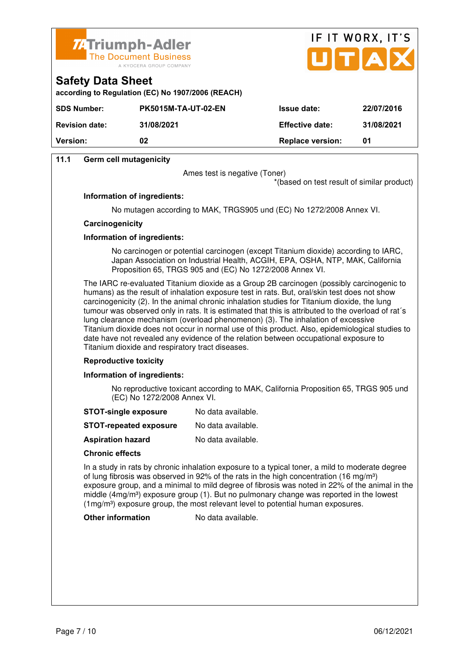



| 31/08/2021 |
|------------|
|            |
|            |

## **11.1 Germ cell mutagenicity**

**Safety Data Sheet** 

Ames test is negative (Toner)

\*(based on test result of similar product)

### **Information of ingredients:**

No mutagen according to MAK, TRGS905 und (EC) No 1272/2008 Annex VI.

### **Carcinogenicity**

### **Information of ingredients:**

 No carcinogen or potential carcinogen (except Titanium dioxide) according to IARC, Japan Association on Industrial Health, ACGIH, EPA, OSHA, NTP, MAK, California Proposition 65, TRGS 905 and (EC) No 1272/2008 Annex VI.

 The IARC re-evaluated Titanium dioxide as a Group 2B carcinogen (possibly carcinogenic to humans) as the result of inhalation exposure test in rats. But, oral/skin test does not show carcinogenicity (2). In the animal chronic inhalation studies for Titanium dioxide, the lung tumour was observed only in rats. It is estimated that this is attributed to the overload of rat´s lung clearance mechanism (overload phenomenon) (3). The inhalation of excessive Titanium dioxide does not occur in normal use of this product. Also, epidemiological studies to date have not revealed any evidence of the relation between occupational exposure to Titanium dioxide and respiratory tract diseases.

### **Reproductive toxicity**

### **Information of ingredients:**

 No reproductive toxicant according to MAK, California Proposition 65, TRGS 905 und (EC) No 1272/2008 Annex VI.

- **STOT-single exposure** No data available.
- **STOT-repeated exposure** No data available.
- **Aspiration hazard** No data available.

### **Chronic effects**

 In a study in rats by chronic inhalation exposure to a typical toner, a mild to moderate degree of lung fibrosis was observed in 92% of the rats in the high concentration (16 mg/m<sup>3</sup>) exposure group, and a minimal to mild degree of fibrosis was noted in 22% of the animal in the middle ( $4mg/m<sup>3</sup>$ ) exposure group (1). But no pulmonary change was reported in the lowest (1mg/m<sup>3</sup>) exposure group, the most relevant level to potential human exposures.

**Other information** No data available.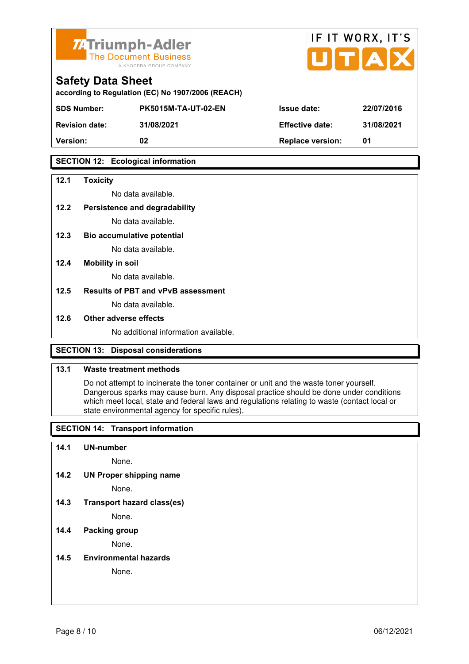



| according to Regulation (EC) No 1907/2006 (REACH) |  |  |
|---------------------------------------------------|--|--|

| <b>Version:</b>       | 02                         | <b>Replace version:</b> | 01         |
|-----------------------|----------------------------|-------------------------|------------|
| <b>Revision date:</b> | 31/08/2021                 | <b>Effective date:</b>  | 31/08/2021 |
| <b>SDS Number:</b>    | <b>PK5015M-TA-UT-02-EN</b> | <b>Issue date:</b>      | 22/07/2016 |

## **SECTION 12: Ecological information**

### **12.1 Toxicity**

No data available.

## **12.2 Persistence and degradability**

No data available.

**12.3 Bio accumulative potential** 

No data available.

### **12.4 Mobility in soil**

No data available.

### **12.5 Results of PBT and vPvB assessment**

No data available.

### **12.6 Other adverse effects**

No additional information available.

## **SECTION 13: Disposal considerations**

### **13.1 Waste treatment methods**

 Do not attempt to incinerate the toner container or unit and the waste toner yourself. Dangerous sparks may cause burn. Any disposal practice should be done under conditions which meet local, state and federal laws and regulations relating to waste (contact local or state environmental agency for specific rules).

## **SECTION 14: Transport information**

### **14.1 UN-number**

None.

**14.2 UN Proper shipping name** 

None.

**14.3 Transport hazard class(es)** 

None.

## **14.4 Packing group**

None.

### **14.5 Environmental hazards**

None.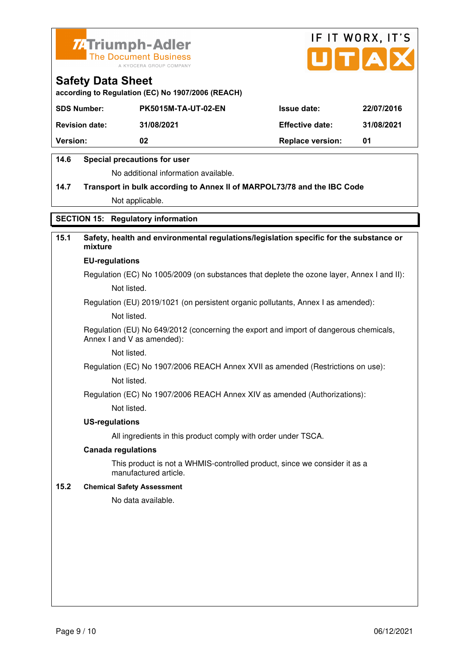



**according to Regulation (EC) No 1907/2006 (REACH)**

| <b>SDS Number:</b>    | <b>PK5015M-TA-UT-02-EN</b> | <b>Issue date:</b>      | 22/07/2016 |
|-----------------------|----------------------------|-------------------------|------------|
| <b>Revision date:</b> | 31/08/2021                 | <b>Effective date:</b>  | 31/08/2021 |
| <b>Version:</b>       | 02                         | <b>Replace version:</b> | 01         |

## **14.6 Special precautions for user**

No additional information available.

# **14.7 Transport in bulk according to Annex II of MARPOL73/78 and the IBC Code** Not applicable.

## **SECTION 15: Regulatory information**

# **15.1 Safety, health and environmental regulations/legislation specific for the substance or mixture**

### **EU-regulations**

Regulation (EC) No 1005/2009 (on substances that deplete the ozone layer, Annex I and II): Not listed.

Regulation (EU) 2019/1021 (on persistent organic pollutants, Annex I as amended):

Not listed.

 Regulation (EU) No 649/2012 (concerning the export and import of dangerous chemicals, Annex I and V as amended):

Not listed.

 Regulation (EC) No 1907/2006 REACH Annex XVII as amended (Restrictions on use): Not listed.

Regulation (EC) No 1907/2006 REACH Annex XIV as amended (Authorizations):

Not listed.

### **US-regulations**

All ingredients in this product comply with order under TSCA.

### **Canada regulations**

 This product is not a WHMIS-controlled product, since we consider it as a manufactured article.

### **15.2 Chemical Safety Assessment**

No data available.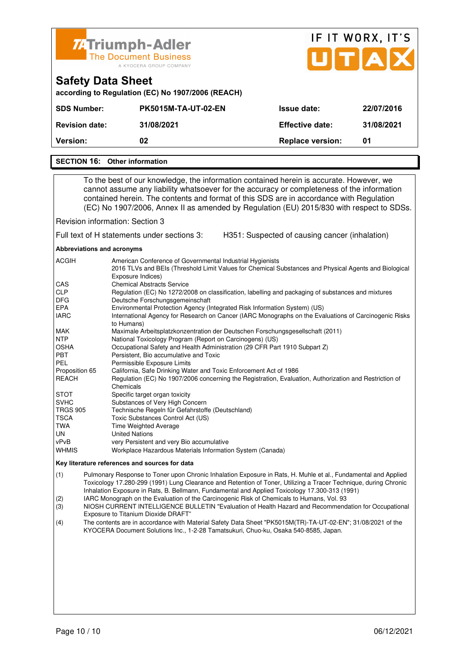

| <b><i>II</i></b> IIIIIIIIIIIITAUGI<br><b>The Document Business</b><br>A KYOCERA GROUP COMPANY |                                                   |                         | UTAX       |  |  |
|-----------------------------------------------------------------------------------------------|---------------------------------------------------|-------------------------|------------|--|--|
| <b>Safety Data Sheet</b>                                                                      | according to Regulation (EC) No 1907/2006 (REACH) |                         |            |  |  |
| <b>SDS Number:</b>                                                                            | <b>PK5015M-TA-UT-02-EN</b>                        | <b>Issue date:</b>      | 22/07/2016 |  |  |
| <b>Revision date:</b>                                                                         | 31/08/2021                                        | <b>Effective date:</b>  | 31/08/2021 |  |  |
| Version:                                                                                      | 02                                                | <b>Replace version:</b> | 01         |  |  |
|                                                                                               |                                                   |                         |            |  |  |

IF IT WORX, IT'S

### **SECTION 16: Other information**

 To the best of our knowledge, the information contained herein is accurate. However, we cannot assume any liability whatsoever for the accuracy or completeness of the information contained herein. The contents and format of this SDS are in accordance with Regulation (EC) No 1907/2006, Annex II as amended by Regulation (EU) 2015/830 with respect to SDSs.

Revision information: Section 3

Full text of H statements under sections 3: H351: Suspected of causing cancer (inhalation)

### **Abbreviations and acronyms**

| <b>ACGIH</b>    | American Conference of Governmental Industrial Hygienists                                                                  |
|-----------------|----------------------------------------------------------------------------------------------------------------------------|
|                 | 2016 TLVs and BEIs (Threshold Limit Values for Chemical Substances and Physical Agents and Biological<br>Exposure Indices) |
| CAS             | <b>Chemical Abstracts Service</b>                                                                                          |
| <b>CLP</b>      | Regulation (EC) No 1272/2008 on classification, labelling and packaging of substances and mixtures                         |
| <b>DFG</b>      | Deutsche Forschungsgemeinschaft                                                                                            |
| EPA             | Environmental Protection Agency (Integrated Risk Information System) (US)                                                  |
| <b>IARC</b>     | International Agency for Research on Cancer (IARC Monographs on the Evaluations of Carcinogenic Risks<br>to Humans)        |
| MAK             | Maximale Arbeitsplatzkonzentration der Deutschen Forschungsgesellschaft (2011)                                             |
| <b>NTP</b>      | National Toxicology Program (Report on Carcinogens) (US)                                                                   |
| <b>OSHA</b>     | Occupational Safety and Health Administration (29 CFR Part 1910 Subpart Z)                                                 |
| <b>PBT</b>      | Persistent, Bio accumulative and Toxic                                                                                     |
| PEL             | Permissible Exposure Limits                                                                                                |
| Proposition 65  | California, Safe Drinking Water and Toxic Enforcement Act of 1986                                                          |
| REACH           | Regulation (EC) No 1907/2006 concerning the Registration, Evaluation, Authorization and Restriction of                     |
|                 | Chemicals                                                                                                                  |
| <b>STOT</b>     | Specific target organ toxicity                                                                                             |
| <b>SVHC</b>     | Substances of Very High Concern                                                                                            |
| <b>TRGS 905</b> | Technische Regeln für Gefahrstoffe (Deutschland)                                                                           |
| <b>TSCA</b>     | Toxic Substances Control Act (US)                                                                                          |
| TWA             | <b>Time Weighted Average</b>                                                                                               |
| UN.             | <b>United Nations</b>                                                                                                      |
| vPvB            | very Persistent and very Bio accumulative                                                                                  |
| <b>WHMIS</b>    | Workplace Hazardous Materials Information System (Canada)                                                                  |

#### **Key literature references and sources for data**

(1) Pulmonary Response to Toner upon Chronic Inhalation Exposure in Rats, H. Muhle et al., Fundamental and Applied Toxicology 17.280-299 (1991) Lung Clearance and Retention of Toner, Utilizing a Tracer Technique, during Chronic Inhalation Exposure in Rats, B. Bellmann, Fundamental and Applied Toxicology 17.300-313 (1991)

(2) IARC Monograph on the Evaluation of the Carcinogenic Risk of Chemicals to Humans, Vol. 93

(3) NIOSH CURRENT INTELLIGENCE BULLETIN "Evaluation of Health Hazard and Recommendation for Occupational Exposure to Titanium Dioxide DRAFT"

(4) The contents are in accordance with Material Safety Data Sheet "PK5015M(TR)-TA-UT-02-EN"; 31/08/2021 of the KYOCERA Document Solutions Inc., 1-2-28 Tamatsukuri, Chuo-ku, Osaka 540-8585, Japan.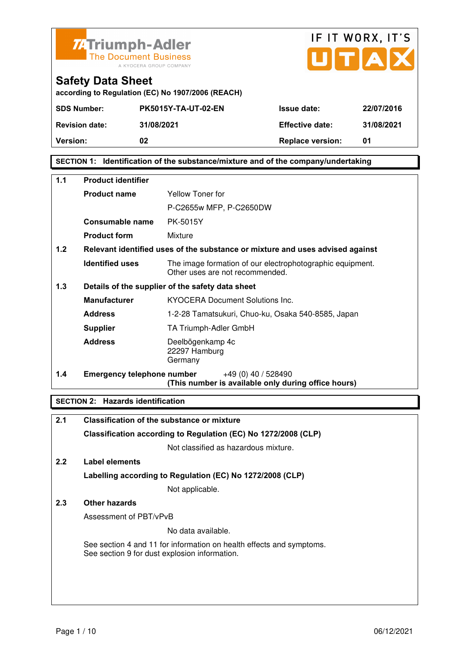



| <b>Safety Data Sheet</b>                          |
|---------------------------------------------------|
| according to Regulation (EC) No 1907/2006 (REACH) |

| <b>SDS Number:</b><br><b>Revision date:</b> | <b>PK5015Y-TA-UT-02-EN</b><br>31/08/2021 | <b>Issue date:</b><br><b>Effective date:</b> | 22/07/2016<br>31/08/2021 |
|---------------------------------------------|------------------------------------------|----------------------------------------------|--------------------------|
| <b>Version:</b>                             | 02                                       | <b>Replace version:</b>                      | 01                       |
|                                             |                                          |                                              |                          |

## **SECTION 1: Identification of the substance/mixture and of the company/undertaking**

| $1.1$ | <b>Product identifier</b>  |                                                                                              |  |
|-------|----------------------------|----------------------------------------------------------------------------------------------|--|
|       | <b>Product name</b>        | Yellow Toner for                                                                             |  |
|       |                            | P-C2655w MFP, P-C2650DW                                                                      |  |
|       | <b>Consumable name</b>     | PK-5015Y                                                                                     |  |
|       | <b>Product form</b>        | Mixture                                                                                      |  |
| 1.2   |                            | Relevant identified uses of the substance or mixture and uses advised against                |  |
|       | <b>Identified uses</b>     | The image formation of our electrophotographic equipment.<br>Other uses are not recommended. |  |
| 1.3   |                            | Details of the supplier of the safety data sheet                                             |  |
|       | <b>Manufacturer</b>        | <b>KYOCERA Document Solutions Inc.</b>                                                       |  |
|       | <b>Address</b>             | 1-2-28 Tamatsukuri, Chuo-ku, Osaka 540-8585, Japan                                           |  |
|       | <b>Supplier</b>            | TA Triumph-Adler GmbH                                                                        |  |
|       | <b>Address</b>             | Deelbögenkamp 4c<br>22297 Hamburg<br>Germany                                                 |  |
| 1.4   | Emergency telephone number | $+49(0)$ 40 / 528490<br>(This number is available only during office hours)                  |  |

## **SECTION 2: Hazards identification**

| 2.1           | Classification of the substance or mixture                                                                            |
|---------------|-----------------------------------------------------------------------------------------------------------------------|
|               | Classification according to Regulation (EC) No 1272/2008 (CLP)                                                        |
|               | Not classified as hazardous mixture.                                                                                  |
| $2.2^{\circ}$ | Label elements                                                                                                        |
|               | Labelling according to Regulation (EC) No 1272/2008 (CLP)                                                             |
|               | Not applicable.                                                                                                       |
| 2.3           | Other hazards                                                                                                         |
|               | Assessment of PBT/vPvB                                                                                                |
|               | No data available.                                                                                                    |
|               | See section 4 and 11 for information on health effects and symptoms.<br>See section 9 for dust explosion information. |
|               |                                                                                                                       |
|               |                                                                                                                       |
|               |                                                                                                                       |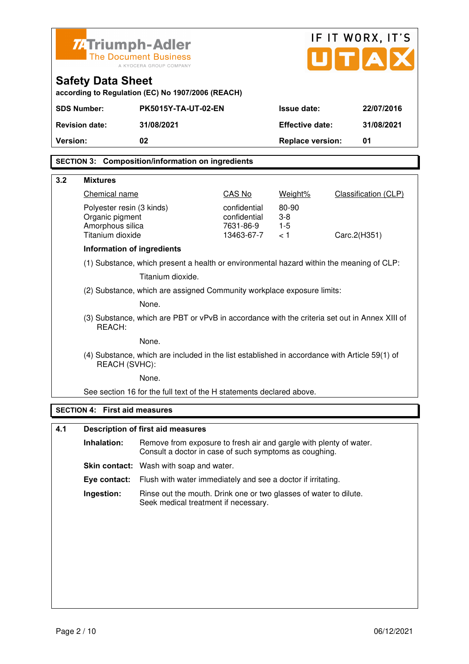| IF IT WORX, IT'S<br><b>ZATriumph-Adler</b>                                                                                                  |                                                                                 |  |  |
|---------------------------------------------------------------------------------------------------------------------------------------------|---------------------------------------------------------------------------------|--|--|
| UTA<br><b>The Document Business</b><br>A KYOCERA GROUP COMPANY                                                                              |                                                                                 |  |  |
| <b>Safety Data Sheet</b>                                                                                                                    |                                                                                 |  |  |
| according to Regulation (EC) No 1907/2006 (REACH)<br><b>SDS Number:</b><br>PK5015Y-TA-UT-02-EN                                              | <b>Issue date:</b><br>22/07/2016                                                |  |  |
| 31/08/2021<br><b>Revision date:</b>                                                                                                         | <b>Effective date:</b><br>31/08/2021                                            |  |  |
| Version:<br>02                                                                                                                              | <b>Replace version:</b><br>01                                                   |  |  |
|                                                                                                                                             |                                                                                 |  |  |
| <b>SECTION 3: Composition/information on ingredients</b>                                                                                    |                                                                                 |  |  |
| 3.2<br><b>Mixtures</b>                                                                                                                      |                                                                                 |  |  |
| Chemical name<br>CAS No                                                                                                                     | <b>Classification (CLP)</b><br>Weight%                                          |  |  |
| 80-90<br>confidential<br>Polyester resin (3 kinds)<br>confidential<br>$3-8$<br>Organic pigment                                              |                                                                                 |  |  |
| Amorphous silica<br>7631-86-9<br>$1-5$                                                                                                      |                                                                                 |  |  |
| Titanium dioxide<br>13463-67-7<br>< 1                                                                                                       | Carc.2(H351)                                                                    |  |  |
| Information of ingredients<br>(1) Substance, which present a health or environmental hazard within the meaning of CLP:                      |                                                                                 |  |  |
| Titanium dioxide.                                                                                                                           |                                                                                 |  |  |
| (2) Substance, which are assigned Community workplace exposure limits:                                                                      |                                                                                 |  |  |
| None.                                                                                                                                       |                                                                                 |  |  |
| (3) Substance, which are PBT or vPvB in accordance with the criteria set out in Annex XIII of<br>REACH:                                     |                                                                                 |  |  |
| None.                                                                                                                                       |                                                                                 |  |  |
| (4) Substance, which are included in the list established in accordance with Article 59(1) of<br>REACH (SVHC):                              |                                                                                 |  |  |
| None.                                                                                                                                       |                                                                                 |  |  |
| See section 16 for the full text of the H statements declared above.                                                                        |                                                                                 |  |  |
| <b>SECTION 4: First aid measures</b>                                                                                                        |                                                                                 |  |  |
| 4.1<br><b>Description of first aid measures</b>                                                                                             |                                                                                 |  |  |
| Inhalation:<br>Remove from exposure to fresh air and gargle with plenty of water.<br>Consult a doctor in case of such symptoms as coughing. |                                                                                 |  |  |
| <b>Skin contact:</b> Wash with soap and water.                                                                                              |                                                                                 |  |  |
| Flush with water immediately and see a doctor if irritating.<br>Eye contact:                                                                |                                                                                 |  |  |
|                                                                                                                                             | Ingestion:<br>Rinse out the mouth. Drink one or two glasses of water to dilute. |  |  |
|                                                                                                                                             |                                                                                 |  |  |
| Seek medical treatment if necessary.                                                                                                        |                                                                                 |  |  |
|                                                                                                                                             |                                                                                 |  |  |
|                                                                                                                                             |                                                                                 |  |  |
|                                                                                                                                             |                                                                                 |  |  |
|                                                                                                                                             |                                                                                 |  |  |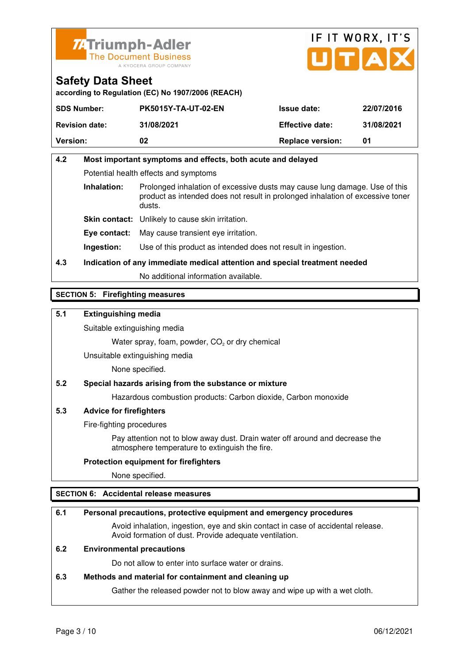



**according to Regulation (EC) No 1907/2006 (REACH)**

| <b>SDS Number:</b>    | <b>PK5015Y-TA-UT-02-EN</b> | <b>Issue date:</b>      | 22/07/2016 |
|-----------------------|----------------------------|-------------------------|------------|
| <b>Revision date:</b> | 31/08/2021                 | <b>Effective date:</b>  | 31/08/2021 |
| <b>Version:</b>       | 02                         | <b>Replace version:</b> | 01         |

# **4.2 Most important symptoms and effects, both acute and delayed**  Potential health effects and symptoms **Inhalation:** Prolonged inhalation of excessive dusts may cause lung damage. Use of this product as intended does not result in prolonged inhalation of excessive toner dusts. **Skin contact:** Unlikely to cause skin irritation.

**Eye contact:** May cause transient eye irritation.

**Ingestion:** Use of this product as intended does not result in ingestion.

# **4.3 Indication of any immediate medical attention and special treatment needed**

No additional information available.

## **SECTION 5: Firefighting measures**

## **5.1 Extinguishing media**

Suitable extinguishing media

Water spray, foam, powder,  $CO<sub>2</sub>$  or dry chemical

Unsuitable extinguishing media

None specified.

## **5.2 Special hazards arising from the substance or mixture**

Hazardous combustion products: Carbon dioxide, Carbon monoxide

## **5.3 Advice for firefighters**

Fire-fighting procedures

 Pay attention not to blow away dust. Drain water off around and decrease the atmosphere temperature to extinguish the fire.

### **Protection equipment for firefighters**

None specified.

## **SECTION 6: Accidental release measures**

### **6.1 Personal precautions, protective equipment and emergency procedures**

 Avoid inhalation, ingestion, eye and skin contact in case of accidental release. Avoid formation of dust. Provide adequate ventilation.

### **6.2 Environmental precautions**

Do not allow to enter into surface water or drains.

### **6.3 Methods and material for containment and cleaning up**

Gather the released powder not to blow away and wipe up with a wet cloth.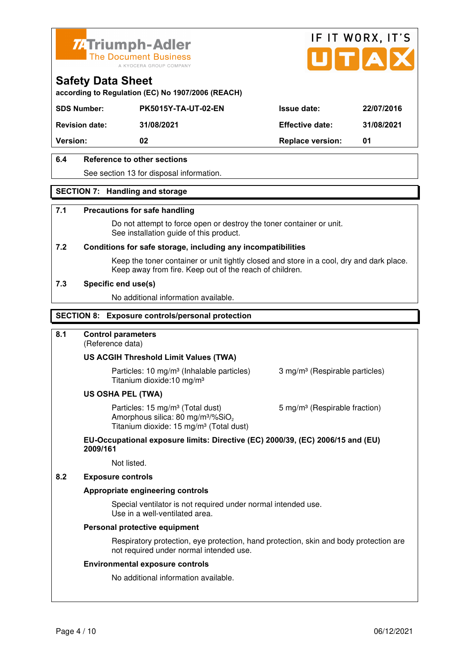



**according to Regulation (EC) No 1907/2006 (REACH)**

| <b>SDS Number:</b>    | <b>PK5015Y-TA-UT-02-EN</b> | <b>Issue date:</b>      | 22/07/2016 |
|-----------------------|----------------------------|-------------------------|------------|
| <b>Revision date:</b> | 31/08/2021                 | <b>Effective date:</b>  | 31/08/2021 |
| <b>Version:</b>       | 02                         | <b>Replace version:</b> | 01         |
|                       |                            |                         |            |

## **6.4 Reference to other sections**

See section 13 for disposal information.

### **SECTION 7: Handling and storage**

### **7.1 Precautions for safe handling**

 Do not attempt to force open or destroy the toner container or unit. See installation guide of this product.

### **7.2 Conditions for safe storage, including any incompatibilities**

Keep the toner container or unit tightly closed and store in a cool, dry and dark place. Keep away from fire. Keep out of the reach of children.

### **7.3 Specific end use(s)**

No additional information available.

### **SECTION 8: Exposure controls/personal protection**

### **8.1 Control parameters**

(Reference data)

### **US ACGIH Threshold Limit Values (TWA)**

**Particles: 10 mg/m<sup>3</sup> (Inhalable particles) 3 mg/m<sup>3</sup> (Respirable particles)** Titanium dioxide:10 mg/m³

### **US OSHA PEL (TWA)**

Particles: 15 mg/m<sup>3</sup> (Total dust) 5 mg/m<sup>3</sup> (Respirable fraction) Amorphous silica:  $80 \text{ mg/m}^3/\% \text{SiO}_2$ Titanium dioxide: 15 mg/m<sup>3</sup> (Total dust)

### **EU-Occupational exposure limits: Directive (EC) 2000/39, (EC) 2006/15 and (EU) 2009/161**

Not listed.

### **8.2 Exposure controls**

### **Appropriate engineering controls**

 Special ventilator is not required under normal intended use. Use in a well-ventilated area.

### **Personal protective equipment**

 Respiratory protection, eye protection, hand protection, skin and body protection are not required under normal intended use.

### **Environmental exposure controls**

No additional information available.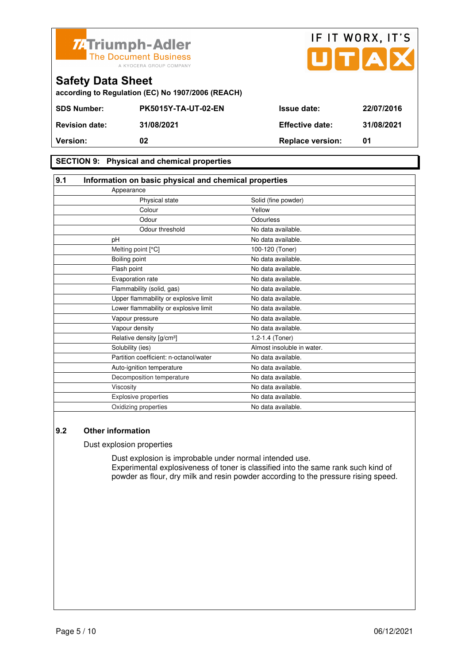



**SECTION 9: Physical and chemical properties** 

| 9.1 | Information on basic physical and chemical properties |                            |  |
|-----|-------------------------------------------------------|----------------------------|--|
|     | Appearance                                            |                            |  |
|     | Physical state                                        | Solid (fine powder)        |  |
|     | Colour                                                | Yellow                     |  |
|     | Odour                                                 | Odourless                  |  |
|     | Odour threshold                                       | No data available.         |  |
|     | pH                                                    | No data available.         |  |
|     | Melting point [°C]                                    | 100-120 (Toner)            |  |
|     | Boiling point                                         | No data available.         |  |
|     | Flash point                                           | No data available.         |  |
|     | Evaporation rate                                      | No data available.         |  |
|     | Flammability (solid, gas)                             | No data available.         |  |
|     | Upper flammability or explosive limit                 | No data available.         |  |
|     | Lower flammability or explosive limit                 | No data available.         |  |
|     | Vapour pressure                                       | No data available.         |  |
|     | Vapour density                                        | No data available.         |  |
|     | Relative density [g/cm <sup>3</sup> ]                 | 1.2-1.4 (Toner)            |  |
|     | Solubility (ies)                                      | Almost insoluble in water. |  |
|     | Partition coefficient: n-octanol/water                | No data available.         |  |
|     | Auto-ignition temperature                             | No data available.         |  |
|     | Decomposition temperature                             | No data available.         |  |
|     | Viscosity                                             | No data available.         |  |
|     | Explosive properties                                  | No data available.         |  |
|     | Oxidizing properties                                  | No data available.         |  |

### **9.2 Other information**

Dust explosion properties

 Dust explosion is improbable under normal intended use. Experimental explosiveness of toner is classified into the same rank such kind of powder as flour, dry milk and resin powder according to the pressure rising speed.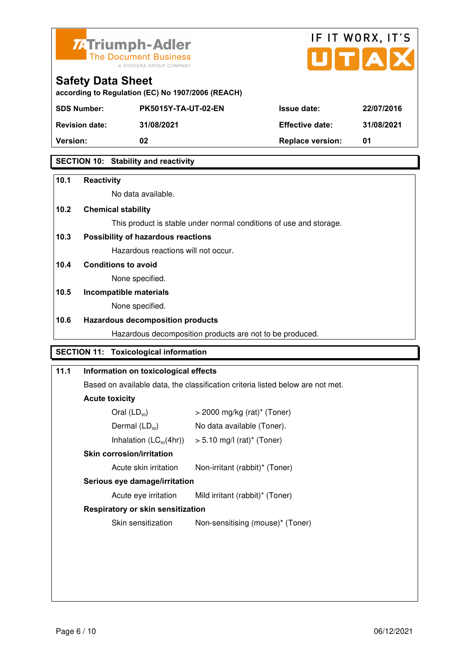



| according to Regulation (EC) No 1907/2006 (REACH) |  |  |
|---------------------------------------------------|--|--|

| <b>SDS Number:</b>    | <b>PK5015Y-TA-UT-02-EN</b> | <b>Issue date:</b>      | 22/07/2016 |
|-----------------------|----------------------------|-------------------------|------------|
| <b>Revision date:</b> | 31/08/2021                 | <b>Effective date:</b>  | 31/08/2021 |
| <b>Version:</b>       | 02                         | <b>Replace version:</b> | 01         |
|                       |                            |                         |            |

## **SECTION 10: Stability and reactivity**

| 10.1 | <b>Reactivity</b>                                                              |  |  |
|------|--------------------------------------------------------------------------------|--|--|
|      | No data available.                                                             |  |  |
| 10.2 | <b>Chemical stability</b>                                                      |  |  |
|      | This product is stable under normal conditions of use and storage.             |  |  |
| 10.3 | Possibility of hazardous reactions                                             |  |  |
|      | Hazardous reactions will not occur.                                            |  |  |
| 10.4 | <b>Conditions to avoid</b>                                                     |  |  |
|      | None specified.                                                                |  |  |
| 10.5 | Incompatible materials                                                         |  |  |
|      | None specified.                                                                |  |  |
|      | <b>Hazardous decomposition products</b>                                        |  |  |
| 10.6 |                                                                                |  |  |
|      | Hazardous decomposition products are not to be produced.                       |  |  |
|      | <b>SECTION 11: Toxicological information</b>                                   |  |  |
| 11.1 | Information on toxicological effects                                           |  |  |
|      | Based on available data, the classification criteria listed below are not met. |  |  |
|      | <b>Acute toxicity</b>                                                          |  |  |
|      | Oral $(LD_{50})$<br>$>$ 2000 mg/kg (rat)* (Toner)                              |  |  |
|      | Dermal $(LD_{50})$<br>No data available (Toner).                               |  |  |

# **Skin corrosion/irritation**

Acute skin irritation Non-irritant (rabbit)\* (Toner)

# **Serious eye damage/irritation**

Acute eye irritation Mild irritant (rabbit)\* (Toner)

# **Respiratory or skin sensitization**

Skin sensitization Mon-sensitising (mouse)\* (Toner)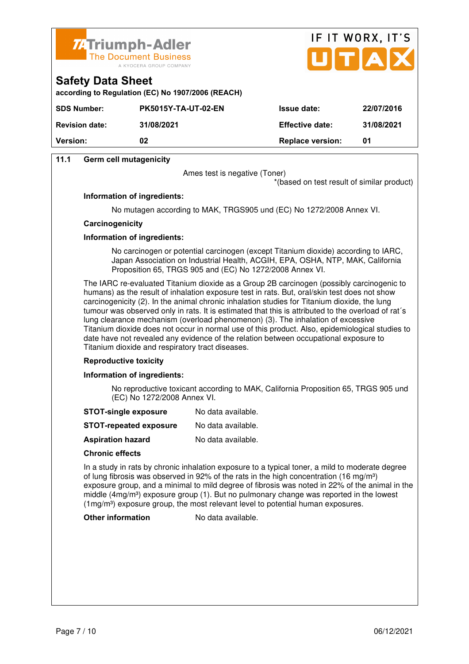



### **Safety Data Sheet according to Regulation (EC) No 1907/2006 (REACH)**

| <b>SDS Number:</b>    | <b>PK5015Y-TA-UT-02-EN</b> | <b>Issue date:</b>      | 22/07/2016 |
|-----------------------|----------------------------|-------------------------|------------|
| <b>Revision date:</b> | 31/08/2021                 | <b>Effective date:</b>  | 31/08/2021 |
| <b>Version:</b>       | 02                         | <b>Replace version:</b> | 01         |

## **11.1 Germ cell mutagenicity**

Ames test is negative (Toner)

\*(based on test result of similar product)

### **Information of ingredients:**

No mutagen according to MAK, TRGS905 und (EC) No 1272/2008 Annex VI.

### **Carcinogenicity**

### **Information of ingredients:**

 No carcinogen or potential carcinogen (except Titanium dioxide) according to IARC, Japan Association on Industrial Health, ACGIH, EPA, OSHA, NTP, MAK, California Proposition 65, TRGS 905 and (EC) No 1272/2008 Annex VI.

 The IARC re-evaluated Titanium dioxide as a Group 2B carcinogen (possibly carcinogenic to humans) as the result of inhalation exposure test in rats. But, oral/skin test does not show carcinogenicity (2). In the animal chronic inhalation studies for Titanium dioxide, the lung tumour was observed only in rats. It is estimated that this is attributed to the overload of rat´s lung clearance mechanism (overload phenomenon) (3). The inhalation of excessive Titanium dioxide does not occur in normal use of this product. Also, epidemiological studies to date have not revealed any evidence of the relation between occupational exposure to Titanium dioxide and respiratory tract diseases.

### **Reproductive toxicity**

### **Information of ingredients:**

 No reproductive toxicant according to MAK, California Proposition 65, TRGS 905 und (EC) No 1272/2008 Annex VI.

- **STOT-single exposure** No data available.
- **STOT-repeated exposure** No data available.
- **Aspiration hazard** No data available.

### **Chronic effects**

 In a study in rats by chronic inhalation exposure to a typical toner, a mild to moderate degree of lung fibrosis was observed in 92% of the rats in the high concentration (16 mg/m<sup>3</sup>) exposure group, and a minimal to mild degree of fibrosis was noted in 22% of the animal in the middle ( $4mg/m<sup>3</sup>$ ) exposure group (1). But no pulmonary change was reported in the lowest (1mg/m<sup>3</sup>) exposure group, the most relevant level to potential human exposures.

**Other information** No data available.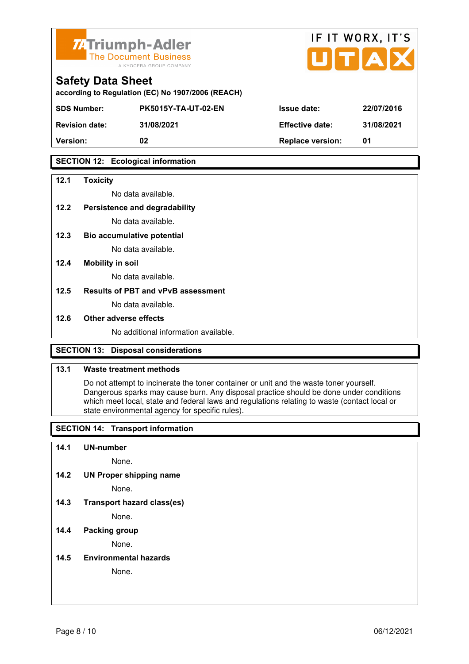



| <b>Safety Data Sheet</b>                          |
|---------------------------------------------------|
| according to Regulation (EC) No 1907/2006 (REACH) |

| 31/08/2021 |
|------------|
|            |
|            |

## **SECTION 12: Ecological information**

### **12.1 Toxicity**

No data available.

## **12.2 Persistence and degradability**

No data available.

**12.3 Bio accumulative potential** 

No data available.

### **12.4 Mobility in soil**

No data available.

### **12.5 Results of PBT and vPvB assessment**

No data available.

### **12.6 Other adverse effects**

No additional information available.

## **SECTION 13: Disposal considerations**

### **13.1 Waste treatment methods**

 Do not attempt to incinerate the toner container or unit and the waste toner yourself. Dangerous sparks may cause burn. Any disposal practice should be done under conditions which meet local, state and federal laws and regulations relating to waste (contact local or state environmental agency for specific rules).

## **SECTION 14: Transport information**

### **14.1 UN-number**

None.

**14.2 UN Proper shipping name** 

None.

**14.3 Transport hazard class(es)** 

None.

## **14.4 Packing group**

None.

### **14.5 Environmental hazards**

None.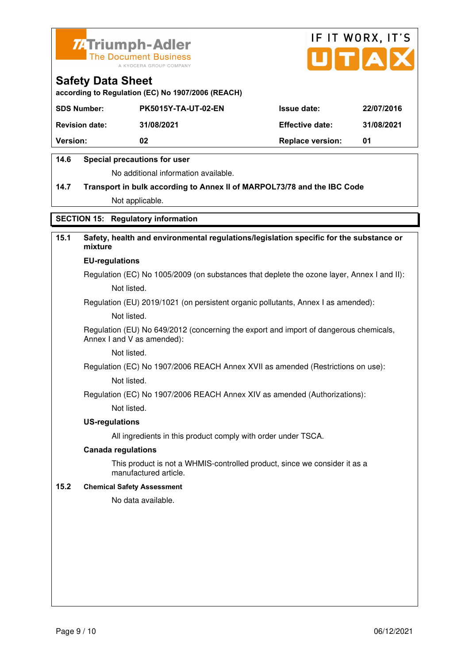



**according to Regulation (EC) No 1907/2006 (REACH)**

| <b>SDS Number:</b>    | <b>PK5015Y-TA-UT-02-EN</b> | <b>Issue date:</b>      | 22/07/2016 |
|-----------------------|----------------------------|-------------------------|------------|
| <b>Revision date:</b> | 31/08/2021                 | <b>Effective date:</b>  | 31/08/2021 |
| <b>Version:</b>       | 02                         | <b>Replace version:</b> | 01         |

## **14.6 Special precautions for user**

No additional information available.

# **14.7 Transport in bulk according to Annex II of MARPOL73/78 and the IBC Code** Not applicable.

**SECTION 15: Regulatory information** 

# **15.1 Safety, health and environmental regulations/legislation specific for the substance or mixture**

### **EU-regulations**

Regulation (EC) No 1005/2009 (on substances that deplete the ozone layer, Annex I and II): Not listed.

Regulation (EU) 2019/1021 (on persistent organic pollutants, Annex I as amended):

Not listed.

 Regulation (EU) No 649/2012 (concerning the export and import of dangerous chemicals, Annex I and V as amended):

Not listed.

 Regulation (EC) No 1907/2006 REACH Annex XVII as amended (Restrictions on use): Not listed.

Regulation (EC) No 1907/2006 REACH Annex XIV as amended (Authorizations):

Not listed.

### **US-regulations**

All ingredients in this product comply with order under TSCA.

### **Canada regulations**

 This product is not a WHMIS-controlled product, since we consider it as a manufactured article.

### **15.2 Chemical Safety Assessment**

No data available.